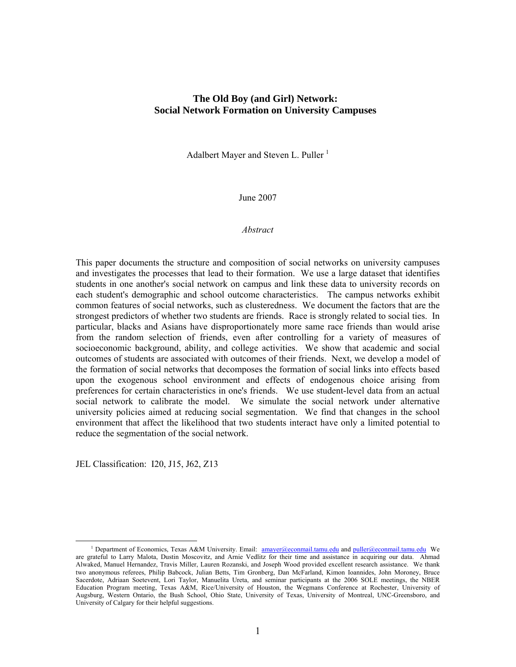## **The Old Boy (and Girl) Network: Social Network Formation on University Campuses**

Adalbert Mayer and Steven L. Puller<sup>1</sup>

June 2007

#### *Abstract*

This paper documents the structure and composition of social networks on university campuses and investigates the processes that lead to their formation. We use a large dataset that identifies students in one another's social network on campus and link these data to university records on each student's demographic and school outcome characteristics. The campus networks exhibit common features of social networks, such as clusteredness. We document the factors that are the strongest predictors of whether two students are friends. Race is strongly related to social ties. In particular, blacks and Asians have disproportionately more same race friends than would arise from the random selection of friends, even after controlling for a variety of measures of socioeconomic background, ability, and college activities. We show that academic and social outcomes of students are associated with outcomes of their friends. Next, we develop a model of the formation of social networks that decomposes the formation of social links into effects based upon the exogenous school environment and effects of endogenous choice arising from preferences for certain characteristics in one's friends. We use student-level data from an actual social network to calibrate the model. We simulate the social network under alternative university policies aimed at reducing social segmentation. We find that changes in the school environment that affect the likelihood that two students interact have only a limited potential to reduce the segmentation of the social network.

JEL Classification: I20, J15, J62, Z13

<sup>&</sup>lt;sup>1</sup> Department of Economics, Texas A&M University. Email: amayer@econmail.tamu.edu and puller@econmail.tamu.edu We are grateful to Larry Malota, Dustin Moscovitz, and Arnie Vedlitz for their time and assistance in acquiring our data. Ahmad Alwaked, Manuel Hernandez, Travis Miller, Lauren Rozanski, and Joseph Wood provided excellent research assistance. We thank two anonymous referees, Philip Babcock, Julian Betts, Tim Gronberg, Dan McFarland, Kimon Ioannides, John Moroney, Bruce Sacerdote, Adriaan Soetevent, Lori Taylor, Manuelita Ureta, and seminar participants at the 2006 SOLE meetings, the NBER Education Program meeting, Texas A&M, Rice/University of Houston, the Wegmans Conference at Rochester, University of Augsburg, Western Ontario, the Bush School, Ohio State, University of Texas, University of Montreal, UNC-Greensboro, and University of Calgary for their helpful suggestions.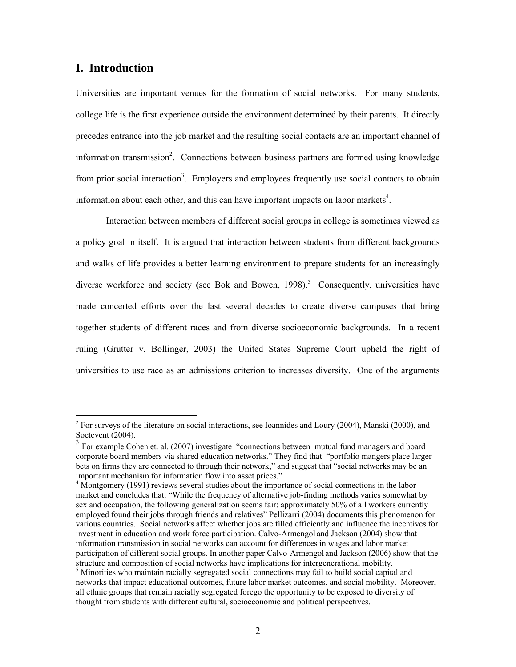## **I. Introduction**

 $\overline{a}$ 

Universities are important venues for the formation of social networks. For many students, college life is the first experience outside the environment determined by their parents. It directly precedes entrance into the job market and the resulting social contacts are an important channel of information transmission<sup>2</sup>. Connections between business partners are formed using knowledge from prior social interaction<sup>3</sup>. Employers and employees frequently use social contacts to obtain information about each other, and this can have important impacts on labor markets $4$ .

Interaction between members of different social groups in college is sometimes viewed as a policy goal in itself. It is argued that interaction between students from different backgrounds and walks of life provides a better learning environment to prepare students for an increasingly diverse workforce and society (see Bok and Bowen, 1998).<sup>5</sup> Consequently, universities have made concerted efforts over the last several decades to create diverse campuses that bring together students of different races and from diverse socioeconomic backgrounds. In a recent ruling (Grutter v. Bollinger, 2003) the United States Supreme Court upheld the right of universities to use race as an admissions criterion to increases diversity. One of the arguments

 $2^2$  For surveys of the literature on social interactions, see Ioannides and Loury (2004), Manski (2000), and Soetevent (2004).

<sup>&</sup>lt;sup>3</sup> For example Cohen et. al. (2007) investigate "connections between mutual fund managers and board corporate board members via shared education networks." They find that "portfolio mangers place larger bets on firms they are connected to through their network," and suggest that "social networks may be an important mechanism for information flow into asset prices."

<sup>&</sup>lt;sup>4</sup> Montgomery (1991) reviews several studies about the importance of social connections in the labor market and concludes that: "While the frequency of alternative job-finding methods varies somewhat by sex and occupation, the following generalization seems fair: approximately 50% of all workers currently employed found their jobs through friends and relatives" Pellizarri (2004) documents this phenomenon for various countries. Social networks affect whether jobs are filled efficiently and influence the incentives for investment in education and work force participation. Calvo-Armengol and Jackson (2004) show that information transmission in social networks can account for differences in wages and labor market participation of different social groups. In another paper Calvo-Armengol and Jackson (2006) show that the structure and composition of social networks have implications for intergenerational mobility.

<sup>&</sup>lt;sup>5</sup> Minorities who maintain racially segregated social connections may fail to build social capital and networks that impact educational outcomes, future labor market outcomes, and social mobility. Moreover, all ethnic groups that remain racially segregated forego the opportunity to be exposed to diversity of thought from students with different cultural, socioeconomic and political perspectives.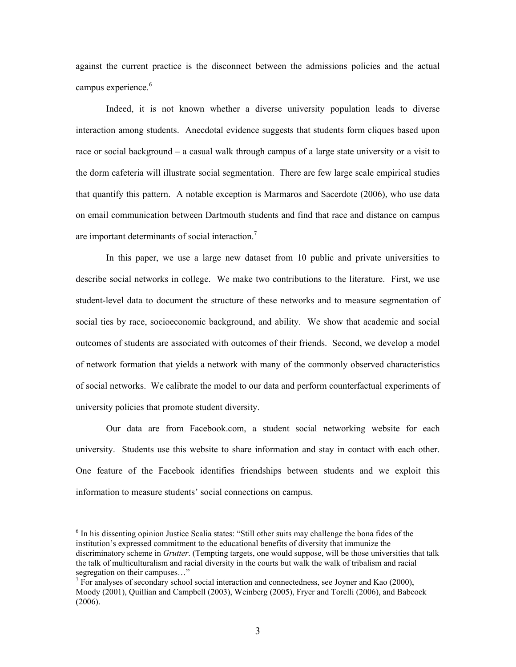against the current practice is the disconnect between the admissions policies and the actual campus experience.<sup>6</sup>

Indeed, it is not known whether a diverse university population leads to diverse interaction among students. Anecdotal evidence suggests that students form cliques based upon race or social background – a casual walk through campus of a large state university or a visit to the dorm cafeteria will illustrate social segmentation. There are few large scale empirical studies that quantify this pattern. A notable exception is Marmaros and Sacerdote (2006), who use data on email communication between Dartmouth students and find that race and distance on campus are important determinants of social interaction.<sup>7</sup>

In this paper, we use a large new dataset from 10 public and private universities to describe social networks in college. We make two contributions to the literature. First, we use student-level data to document the structure of these networks and to measure segmentation of social ties by race, socioeconomic background, and ability. We show that academic and social outcomes of students are associated with outcomes of their friends. Second, we develop a model of network formation that yields a network with many of the commonly observed characteristics of social networks. We calibrate the model to our data and perform counterfactual experiments of university policies that promote student diversity.

Our data are from Facebook.com, a student social networking website for each university. Students use this website to share information and stay in contact with each other. One feature of the Facebook identifies friendships between students and we exploit this information to measure students' social connections on campus.

<sup>&</sup>lt;sup>6</sup> In his dissenting opinion Justice Scalia states: "Still other suits may challenge the bona fides of the institution's expressed commitment to the educational benefits of diversity that immunize the discriminatory scheme in *Grutter*. (Tempting targets, one would suppose, will be those universities that talk the talk of multiculturalism and racial diversity in the courts but walk the walk of tribalism and racial segregation on their campuses..."

 $\frac{7}{1}$  For analyses of secondary school social interaction and connectedness, see Joyner and Kao (2000), Moody (2001), Quillian and Campbell (2003), Weinberg (2005), Fryer and Torelli (2006), and Babcock (2006).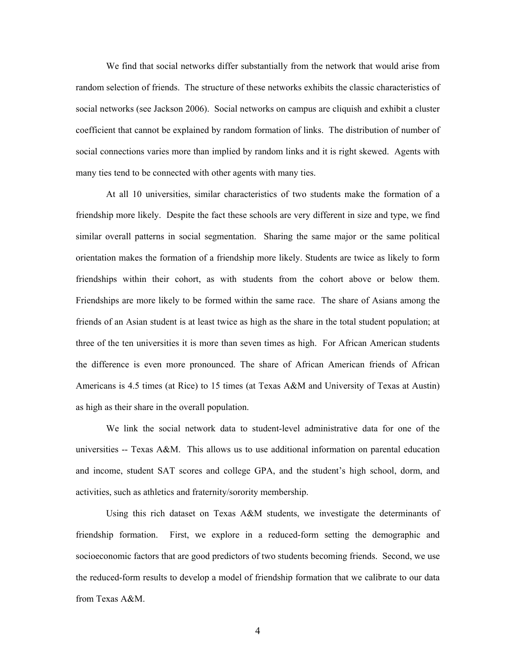We find that social networks differ substantially from the network that would arise from random selection of friends. The structure of these networks exhibits the classic characteristics of social networks (see Jackson 2006). Social networks on campus are cliquish and exhibit a cluster coefficient that cannot be explained by random formation of links. The distribution of number of social connections varies more than implied by random links and it is right skewed. Agents with many ties tend to be connected with other agents with many ties.

At all 10 universities, similar characteristics of two students make the formation of a friendship more likely. Despite the fact these schools are very different in size and type, we find similar overall patterns in social segmentation. Sharing the same major or the same political orientation makes the formation of a friendship more likely. Students are twice as likely to form friendships within their cohort, as with students from the cohort above or below them. Friendships are more likely to be formed within the same race. The share of Asians among the friends of an Asian student is at least twice as high as the share in the total student population; at three of the ten universities it is more than seven times as high. For African American students the difference is even more pronounced. The share of African American friends of African Americans is 4.5 times (at Rice) to 15 times (at Texas A&M and University of Texas at Austin) as high as their share in the overall population.

We link the social network data to student-level administrative data for one of the universities -- Texas A&M. This allows us to use additional information on parental education and income, student SAT scores and college GPA, and the student's high school, dorm, and activities, such as athletics and fraternity/sorority membership.

Using this rich dataset on Texas A&M students, we investigate the determinants of friendship formation. First, we explore in a reduced-form setting the demographic and socioeconomic factors that are good predictors of two students becoming friends. Second, we use the reduced-form results to develop a model of friendship formation that we calibrate to our data from Texas A&M.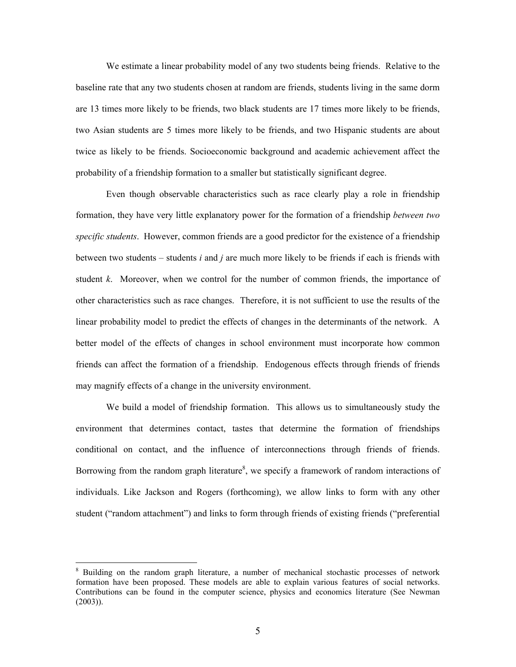We estimate a linear probability model of any two students being friends. Relative to the baseline rate that any two students chosen at random are friends, students living in the same dorm are 13 times more likely to be friends, two black students are 17 times more likely to be friends, two Asian students are 5 times more likely to be friends, and two Hispanic students are about twice as likely to be friends. Socioeconomic background and academic achievement affect the probability of a friendship formation to a smaller but statistically significant degree.

Even though observable characteristics such as race clearly play a role in friendship formation, they have very little explanatory power for the formation of a friendship *between two specific students*. However, common friends are a good predictor for the existence of a friendship between two students – students *i* and *j* are much more likely to be friends if each is friends with student *k*. Moreover, when we control for the number of common friends, the importance of other characteristics such as race changes. Therefore, it is not sufficient to use the results of the linear probability model to predict the effects of changes in the determinants of the network. A better model of the effects of changes in school environment must incorporate how common friends can affect the formation of a friendship. Endogenous effects through friends of friends may magnify effects of a change in the university environment.

We build a model of friendship formation. This allows us to simultaneously study the environment that determines contact, tastes that determine the formation of friendships conditional on contact, and the influence of interconnections through friends of friends. Borrowing from the random graph literature<sup>8</sup>, we specify a framework of random interactions of individuals. Like Jackson and Rogers (forthcoming), we allow links to form with any other student ("random attachment") and links to form through friends of existing friends ("preferential

<sup>&</sup>lt;sup>8</sup> Building on the random graph literature, a number of mechanical stochastic processes of network formation have been proposed. These models are able to explain various features of social networks. Contributions can be found in the computer science, physics and economics literature (See Newman (2003)).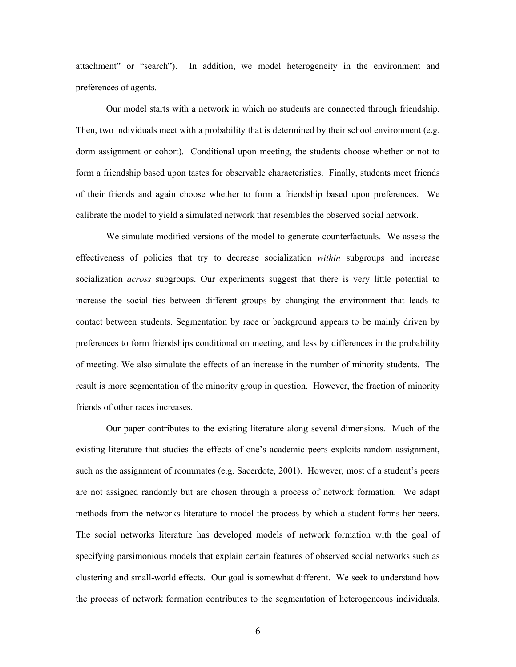attachment" or "search"). In addition, we model heterogeneity in the environment and preferences of agents.

Our model starts with a network in which no students are connected through friendship. Then, two individuals meet with a probability that is determined by their school environment (e.g. dorm assignment or cohort). Conditional upon meeting, the students choose whether or not to form a friendship based upon tastes for observable characteristics. Finally, students meet friends of their friends and again choose whether to form a friendship based upon preferences. We calibrate the model to yield a simulated network that resembles the observed social network.

We simulate modified versions of the model to generate counterfactuals. We assess the effectiveness of policies that try to decrease socialization *within* subgroups and increase socialization *across* subgroups. Our experiments suggest that there is very little potential to increase the social ties between different groups by changing the environment that leads to contact between students. Segmentation by race or background appears to be mainly driven by preferences to form friendships conditional on meeting, and less by differences in the probability of meeting. We also simulate the effects of an increase in the number of minority students. The result is more segmentation of the minority group in question. However, the fraction of minority friends of other races increases.

Our paper contributes to the existing literature along several dimensions. Much of the existing literature that studies the effects of one's academic peers exploits random assignment, such as the assignment of roommates (e.g. Sacerdote, 2001). However, most of a student's peers are not assigned randomly but are chosen through a process of network formation. We adapt methods from the networks literature to model the process by which a student forms her peers. The social networks literature has developed models of network formation with the goal of specifying parsimonious models that explain certain features of observed social networks such as clustering and small-world effects. Our goal is somewhat different. We seek to understand how the process of network formation contributes to the segmentation of heterogeneous individuals.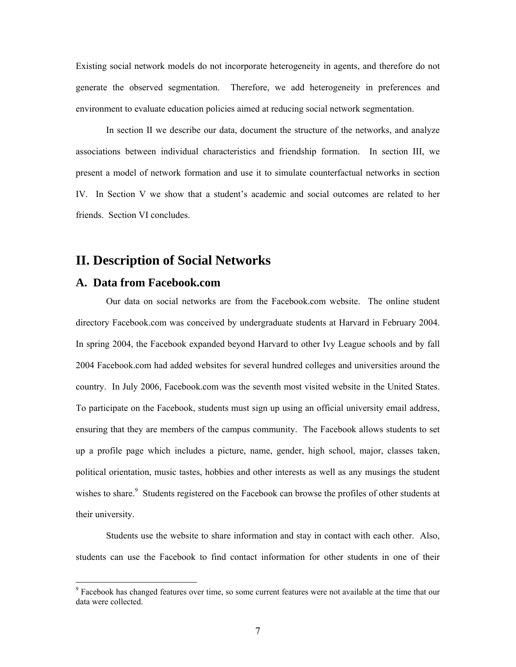Existing social network models do not incorporate heterogeneity in agents, and therefore do not generate the observed segmentation. Therefore, we add heterogeneity in preferences and environment to evaluate education policies aimed at reducing social network segmentation.

 In section II we describe our data, document the structure of the networks, and analyze associations between individual characteristics and friendship formation. In section III, we present a model of network formation and use it to simulate counterfactual networks in section IV. In Section V we show that a student's academic and social outcomes are related to her friends. Section VI concludes.

# **II. Description of Social Networks**

## **A. Data from Facebook.com**

 $\overline{a}$ 

Our data on social networks are from the Facebook.com website. The online student directory Facebook.com was conceived by undergraduate students at Harvard in February 2004. In spring 2004, the Facebook expanded beyond Harvard to other Ivy League schools and by fall 2004 Facebook.com had added websites for several hundred colleges and universities around the country. In July 2006, Facebook.com was the seventh most visited website in the United States. To participate on the Facebook, students must sign up using an official university email address, ensuring that they are members of the campus community. The Facebook allows students to set up a profile page which includes a picture, name, gender, high school, major, classes taken, political orientation, music tastes, hobbies and other interests as well as any musings the student wishes to share.<sup>9</sup> Students registered on the Facebook can browse the profiles of other students at their university.

Students use the website to share information and stay in contact with each other. Also, students can use the Facebook to find contact information for other students in one of their

<sup>&</sup>lt;sup>9</sup> Facebook has changed features over time, so some current features were not available at the time that our data were collected.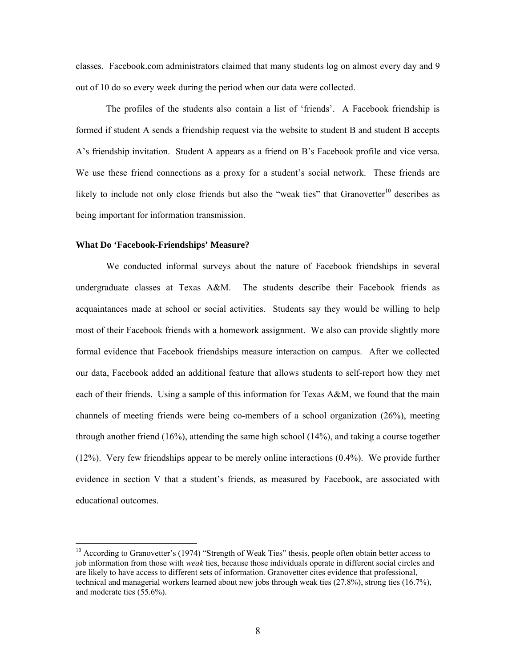classes. Facebook.com administrators claimed that many students log on almost every day and 9 out of 10 do so every week during the period when our data were collected.

The profiles of the students also contain a list of 'friends'. A Facebook friendship is formed if student A sends a friendship request via the website to student B and student B accepts A's friendship invitation. Student A appears as a friend on B's Facebook profile and vice versa. We use these friend connections as a proxy for a student's social network. These friends are likely to include not only close friends but also the "weak ties" that Granovetter $10$  describes as being important for information transmission.

#### **What Do 'Facebook-Friendships' Measure?**

 $\overline{a}$ 

We conducted informal surveys about the nature of Facebook friendships in several undergraduate classes at Texas A&M. The students describe their Facebook friends as acquaintances made at school or social activities. Students say they would be willing to help most of their Facebook friends with a homework assignment. We also can provide slightly more formal evidence that Facebook friendships measure interaction on campus. After we collected our data, Facebook added an additional feature that allows students to self-report how they met each of their friends. Using a sample of this information for Texas A&M, we found that the main channels of meeting friends were being co-members of a school organization (26%), meeting through another friend (16%), attending the same high school (14%), and taking a course together (12%). Very few friendships appear to be merely online interactions (0.4%). We provide further evidence in section V that a student's friends, as measured by Facebook, are associated with educational outcomes.

 $10$  According to Granovetter's (1974) "Strength of Weak Ties" thesis, people often obtain better access to job information from those with *weak* ties, because those individuals operate in different social circles and are likely to have access to different sets of information. Granovetter cites evidence that professional, technical and managerial workers learned about new jobs through weak ties (27.8%), strong ties (16.7%), and moderate ties (55.6%).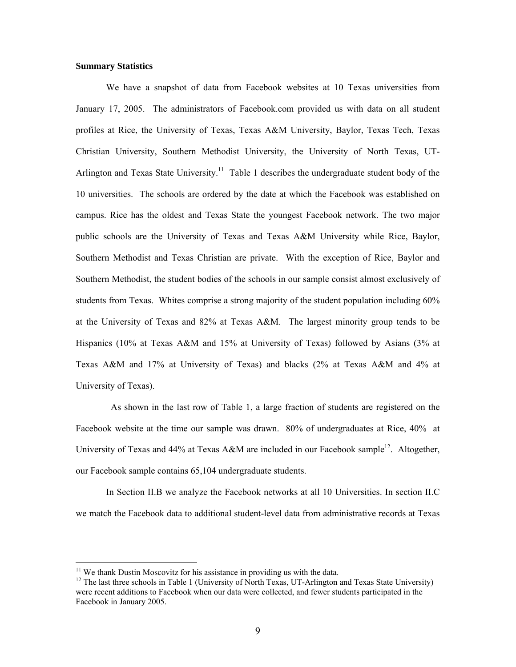#### **Summary Statistics**

We have a snapshot of data from Facebook websites at 10 Texas universities from January 17, 2005. The administrators of Facebook.com provided us with data on all student profiles at Rice, the University of Texas, Texas A&M University, Baylor, Texas Tech, Texas Christian University, Southern Methodist University, the University of North Texas, UT-Arlington and Texas State University.<sup>11</sup> Table 1 describes the undergraduate student body of the 10 universities. The schools are ordered by the date at which the Facebook was established on campus. Rice has the oldest and Texas State the youngest Facebook network. The two major public schools are the University of Texas and Texas A&M University while Rice, Baylor, Southern Methodist and Texas Christian are private. With the exception of Rice, Baylor and Southern Methodist, the student bodies of the schools in our sample consist almost exclusively of students from Texas. Whites comprise a strong majority of the student population including 60% at the University of Texas and 82% at Texas A&M. The largest minority group tends to be Hispanics (10% at Texas A&M and 15% at University of Texas) followed by Asians (3% at Texas A&M and 17% at University of Texas) and blacks (2% at Texas A&M and 4% at University of Texas).

 As shown in the last row of Table 1, a large fraction of students are registered on the Facebook website at the time our sample was drawn. 80% of undergraduates at Rice, 40% at University of Texas and 44% at Texas A&M are included in our Facebook sample<sup>12</sup>. Altogether, our Facebook sample contains 65,104 undergraduate students.

In Section II.B we analyze the Facebook networks at all 10 Universities. In section II.C we match the Facebook data to additional student-level data from administrative records at Texas

 $11$  We thank Dustin Moscovitz for his assistance in providing us with the data.

<sup>&</sup>lt;sup>12</sup> The last three schools in Table 1 (University of North Texas, UT-Arlington and Texas State University) were recent additions to Facebook when our data were collected, and fewer students participated in the Facebook in January 2005.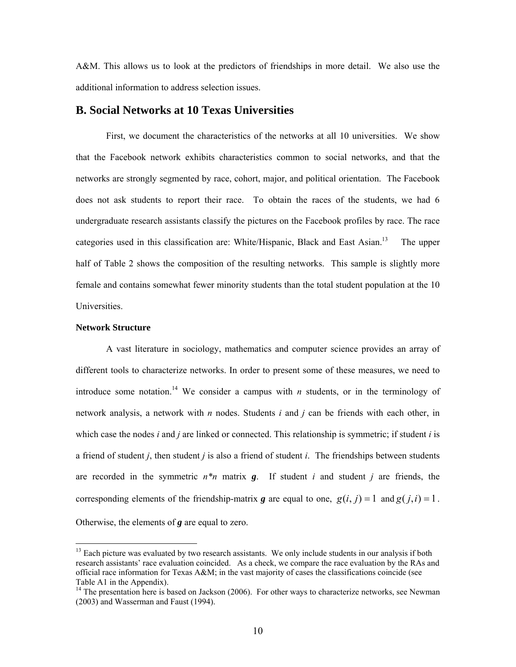A&M. This allows us to look at the predictors of friendships in more detail. We also use the additional information to address selection issues.

### **B. Social Networks at 10 Texas Universities**

First, we document the characteristics of the networks at all 10 universities. We show that the Facebook network exhibits characteristics common to social networks, and that the networks are strongly segmented by race, cohort, major, and political orientation. The Facebook does not ask students to report their race. To obtain the races of the students, we had 6 undergraduate research assistants classify the pictures on the Facebook profiles by race. The race categories used in this classification are: White/Hispanic, Black and East Asian.<sup>13</sup> The upper half of Table 2 shows the composition of the resulting networks. This sample is slightly more female and contains somewhat fewer minority students than the total student population at the 10 Universities.

#### **Network Structure**

 $\overline{a}$ 

A vast literature in sociology, mathematics and computer science provides an array of different tools to characterize networks. In order to present some of these measures, we need to introduce some notation.<sup>14</sup> We consider a campus with *n* students, or in the terminology of network analysis, a network with *n* nodes. Students *i* and *j* can be friends with each other, in which case the nodes *i* and *j* are linked or connected. This relationship is symmetric; if student *i* is a friend of student *j*, then student *j* is also a friend of student *i*. The friendships between students are recorded in the symmetric *n\*n* matrix *g*. If student *i* and student *j* are friends, the corresponding elements of the friendship-matrix *g* are equal to one,  $g(i, j) = 1$  and  $g(j, i) = 1$ . Otherwise, the elements of *g* are equal to zero.

 $13$  Each picture was evaluated by two research assistants. We only include students in our analysis if both research assistants' race evaluation coincided. As a check, we compare the race evaluation by the RAs and official race information for Texas A&M; in the vast majority of cases the classifications coincide (see Table A1 in the Appendix).

<sup>&</sup>lt;sup>14</sup> The presentation here is based on Jackson (2006). For other ways to characterize networks, see Newman (2003) and Wasserman and Faust (1994).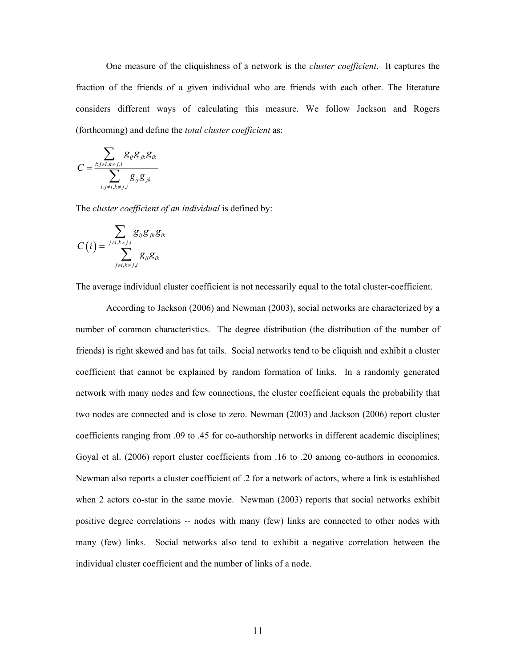One measure of the cliquishness of a network is the *cluster coefficient*. It captures the fraction of the friends of a given individual who are friends with each other. The literature considers different ways of calculating this measure. We follow Jackson and Rogers (forthcoming) and define the *total cluster coefficient* as:

$$
C = \frac{\sum_{i:j \neq i, k \neq j, i} g_{ij} g_{jk} g_{ik}}{\sum_{i:j \neq i, k \neq j, i} g_{ij} g_{jk}}
$$

The *cluster coefficient of an individual* is defined by:

$$
C(i) = \frac{\sum_{j \neq i, k \neq j, i} g_{ij} g_{jk} g_{ik}}{\sum_{j \neq i, k \neq j, i} g_{ij} g_{ik}}
$$

The average individual cluster coefficient is not necessarily equal to the total cluster-coefficient.

According to Jackson (2006) and Newman (2003), social networks are characterized by a number of common characteristics. The degree distribution (the distribution of the number of friends) is right skewed and has fat tails. Social networks tend to be cliquish and exhibit a cluster coefficient that cannot be explained by random formation of links. In a randomly generated network with many nodes and few connections, the cluster coefficient equals the probability that two nodes are connected and is close to zero. Newman (2003) and Jackson (2006) report cluster coefficients ranging from .09 to .45 for co-authorship networks in different academic disciplines; Goyal et al. (2006) report cluster coefficients from .16 to .20 among co-authors in economics. Newman also reports a cluster coefficient of .2 for a network of actors, where a link is established when 2 actors co-star in the same movie. Newman (2003) reports that social networks exhibit positive degree correlations -- nodes with many (few) links are connected to other nodes with many (few) links. Social networks also tend to exhibit a negative correlation between the individual cluster coefficient and the number of links of a node.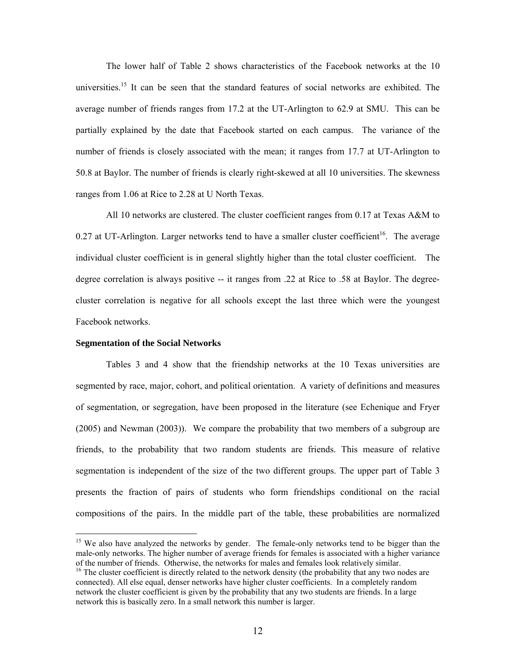The lower half of Table 2 shows characteristics of the Facebook networks at the 10 universities.<sup>15</sup> It can be seen that the standard features of social networks are exhibited. The average number of friends ranges from 17.2 at the UT-Arlington to 62.9 at SMU. This can be partially explained by the date that Facebook started on each campus. The variance of the number of friends is closely associated with the mean; it ranges from 17.7 at UT-Arlington to 50.8 at Baylor. The number of friends is clearly right-skewed at all 10 universities. The skewness ranges from 1.06 at Rice to 2.28 at U North Texas.

All 10 networks are clustered. The cluster coefficient ranges from 0.17 at Texas A&M to 0.27 at UT-Arlington. Larger networks tend to have a smaller cluster coefficient<sup>16</sup>. The average individual cluster coefficient is in general slightly higher than the total cluster coefficient. The degree correlation is always positive -- it ranges from .22 at Rice to .58 at Baylor. The degreecluster correlation is negative for all schools except the last three which were the youngest Facebook networks.

#### **Segmentation of the Social Networks**

 $\overline{a}$ 

Tables 3 and 4 show that the friendship networks at the 10 Texas universities are segmented by race, major, cohort, and political orientation. A variety of definitions and measures of segmentation, or segregation, have been proposed in the literature (see Echenique and Fryer (2005) and Newman (2003)). We compare the probability that two members of a subgroup are friends, to the probability that two random students are friends. This measure of relative segmentation is independent of the size of the two different groups. The upper part of Table 3 presents the fraction of pairs of students who form friendships conditional on the racial compositions of the pairs. In the middle part of the table, these probabilities are normalized

<sup>&</sup>lt;sup>15</sup> We also have analyzed the networks by gender. The female-only networks tend to be bigger than the male-only networks. The higher number of average friends for females is associated with a higher variance of the number of friends. Otherwise, the networks for males and females look relatively similar.<br><sup>16</sup> The cluster coefficient is directly related to the network density (the probability that any two nodes are

connected). All else equal, denser networks have higher cluster coefficients. In a completely random network the cluster coefficient is given by the probability that any two students are friends. In a large network this is basically zero. In a small network this number is larger.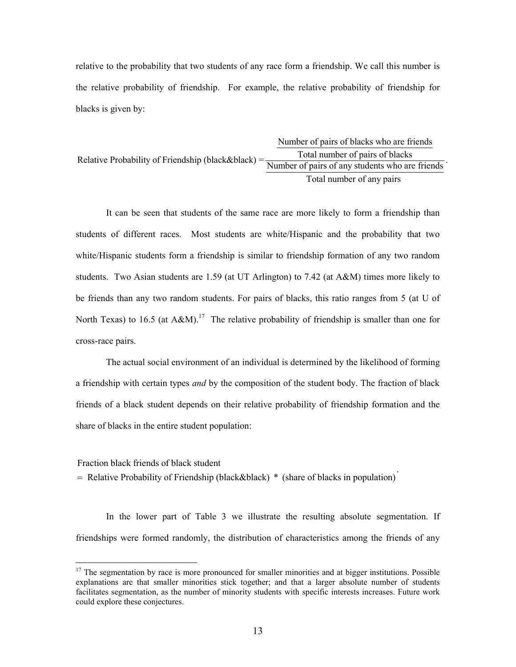relative to the probability that two students of any race form a friendship. We call this number is the relative probability of friendship. For example, the relative probability of friendship for blacks is given by:

Number of pairs of blacks who are friends Relative Probability of Friendship (black&black) =  $\frac{\text{Total number of pairs of pairs of blocks}}{\text{Number of pairs of any students who are friends}}$ Total number of any pairs

It can be seen that students of the same race are more likely to form a friendship than students of different races. Most students are white/Hispanic and the probability that two white/Hispanic students form a friendship is similar to friendship formation of any two random students. Two Asian students are 1.59 (at UT Arlington) to 7.42 (at A&M) times more likely to be friends than any two random students. For pairs of blacks, this ratio ranges from 5 (at U of North Texas) to 16.5 (at A&M).<sup>17</sup> The relative probability of friendship is smaller than one for cross-race pairs.

The actual social environment of an individual is determined by the likelihood of forming a friendship with certain types *and* by the composition of the student body. The fraction of black friends of a black student depends on their relative probability of friendship formation and the share of blacks in the entire student population:

Fraction black friends of black student

 $\overline{a}$ 

 $=$  Relative Probability of Friendship (black&black)  $*$  (share of blacks in population).

In the lower part of Table 3 we illustrate the resulting absolute segmentation. If friendships were formed randomly, the distribution of characteristics among the friends of any

 $17$  The segmentation by race is more pronounced for smaller minorities and at bigger institutions. Possible explanations are that smaller minorities stick together; and that a larger absolute number of students facilitates segmentation, as the number of minority students with specific interests increases. Future work could explore these conjectures.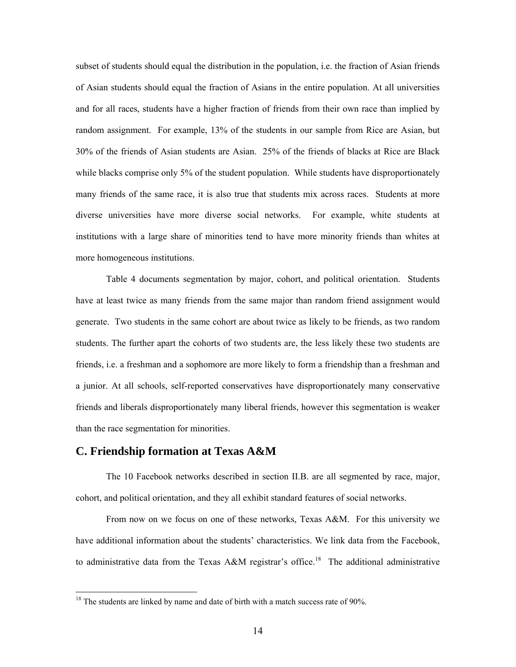subset of students should equal the distribution in the population, i.e. the fraction of Asian friends of Asian students should equal the fraction of Asians in the entire population. At all universities and for all races, students have a higher fraction of friends from their own race than implied by random assignment. For example, 13% of the students in our sample from Rice are Asian, but 30% of the friends of Asian students are Asian. 25% of the friends of blacks at Rice are Black while blacks comprise only 5% of the student population. While students have disproportionately many friends of the same race, it is also true that students mix across races. Students at more diverse universities have more diverse social networks. For example, white students at institutions with a large share of minorities tend to have more minority friends than whites at more homogeneous institutions.

Table 4 documents segmentation by major, cohort, and political orientation. Students have at least twice as many friends from the same major than random friend assignment would generate. Two students in the same cohort are about twice as likely to be friends, as two random students. The further apart the cohorts of two students are, the less likely these two students are friends, i.e. a freshman and a sophomore are more likely to form a friendship than a freshman and a junior. At all schools, self-reported conservatives have disproportionately many conservative friends and liberals disproportionately many liberal friends, however this segmentation is weaker than the race segmentation for minorities.

## **C. Friendship formation at Texas A&M**

 $\overline{a}$ 

The 10 Facebook networks described in section II.B. are all segmented by race, major, cohort, and political orientation, and they all exhibit standard features of social networks.

From now on we focus on one of these networks, Texas A&M. For this university we have additional information about the students' characteristics. We link data from the Facebook, to administrative data from the Texas A&M registrar's office.<sup>18</sup> The additional administrative

 $18$  The students are linked by name and date of birth with a match success rate of 90%.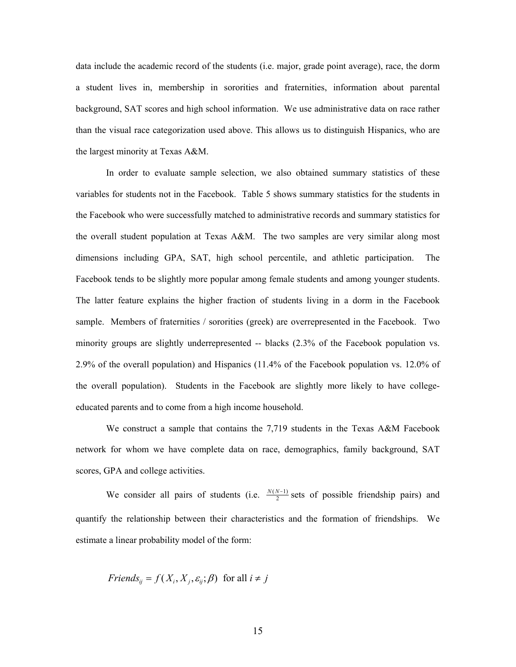data include the academic record of the students (i.e. major, grade point average), race, the dorm a student lives in, membership in sororities and fraternities, information about parental background, SAT scores and high school information. We use administrative data on race rather than the visual race categorization used above. This allows us to distinguish Hispanics, who are the largest minority at Texas A&M.

In order to evaluate sample selection, we also obtained summary statistics of these variables for students not in the Facebook. Table 5 shows summary statistics for the students in the Facebook who were successfully matched to administrative records and summary statistics for the overall student population at Texas A&M. The two samples are very similar along most dimensions including GPA, SAT, high school percentile, and athletic participation. The Facebook tends to be slightly more popular among female students and among younger students. The latter feature explains the higher fraction of students living in a dorm in the Facebook sample. Members of fraternities / sororities (greek) are overrepresented in the Facebook. Two minority groups are slightly underrepresented -- blacks (2.3% of the Facebook population vs. 2.9% of the overall population) and Hispanics (11.4% of the Facebook population vs. 12.0% of the overall population). Students in the Facebook are slightly more likely to have collegeeducated parents and to come from a high income household.

We construct a sample that contains the 7,719 students in the Texas A&M Facebook network for whom we have complete data on race, demographics, family background, SAT scores, GPA and college activities.

We consider all pairs of students (i.e.  $\frac{N(N-1)}{2}$  sets of possible friendship pairs) and quantify the relationship between their characteristics and the formation of friendships. We estimate a linear probability model of the form:

*Friends*<sub>*ij*</sub> = 
$$
f(X_i, X_j, \varepsilon_{ij}; \beta)
$$
 for all  $i \neq j$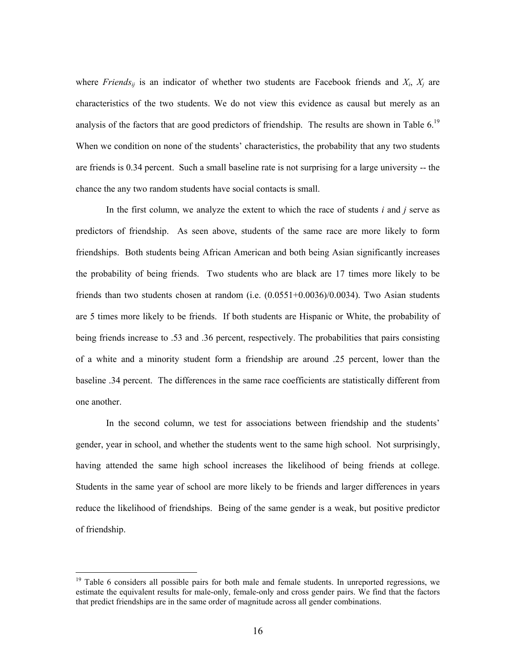where *Friends<sub>ij</sub>* is an indicator of whether two students are Facebook friends and  $X_i$ ,  $X_j$  are characteristics of the two students. We do not view this evidence as causal but merely as an analysis of the factors that are good predictors of friendship. The results are shown in Table 6.<sup>19</sup> When we condition on none of the students' characteristics, the probability that any two students are friends is 0.34 percent. Such a small baseline rate is not surprising for a large university -- the chance the any two random students have social contacts is small.

 In the first column, we analyze the extent to which the race of students *i* and *j* serve as predictors of friendship. As seen above, students of the same race are more likely to form friendships. Both students being African American and both being Asian significantly increases the probability of being friends. Two students who are black are 17 times more likely to be friends than two students chosen at random (i.e.  $(0.0551+0.0036)/0.0034$ ). Two Asian students are 5 times more likely to be friends. If both students are Hispanic or White, the probability of being friends increase to .53 and .36 percent, respectively. The probabilities that pairs consisting of a white and a minority student form a friendship are around .25 percent, lower than the baseline .34 percent. The differences in the same race coefficients are statistically different from one another.

 In the second column, we test for associations between friendship and the students' gender, year in school, and whether the students went to the same high school. Not surprisingly, having attended the same high school increases the likelihood of being friends at college. Students in the same year of school are more likely to be friends and larger differences in years reduce the likelihood of friendships. Being of the same gender is a weak, but positive predictor of friendship.

<sup>&</sup>lt;sup>19</sup> Table 6 considers all possible pairs for both male and female students. In unreported regressions, we estimate the equivalent results for male-only, female-only and cross gender pairs. We find that the factors that predict friendships are in the same order of magnitude across all gender combinations.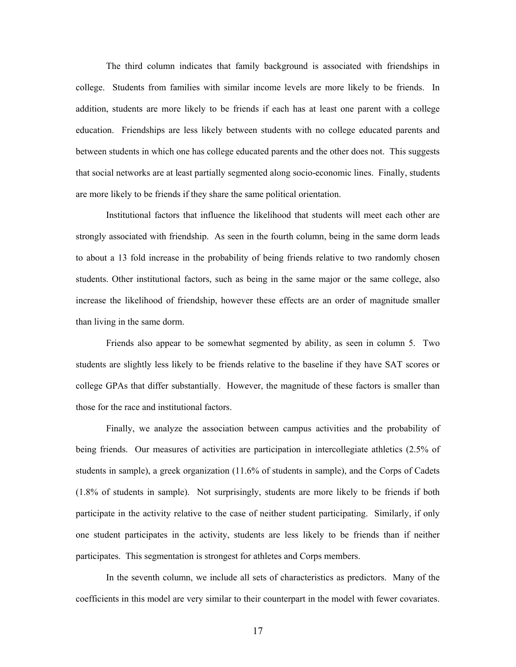The third column indicates that family background is associated with friendships in college. Students from families with similar income levels are more likely to be friends. In addition, students are more likely to be friends if each has at least one parent with a college education. Friendships are less likely between students with no college educated parents and between students in which one has college educated parents and the other does not. This suggests that social networks are at least partially segmented along socio-economic lines. Finally, students are more likely to be friends if they share the same political orientation.

 Institutional factors that influence the likelihood that students will meet each other are strongly associated with friendship. As seen in the fourth column, being in the same dorm leads to about a 13 fold increase in the probability of being friends relative to two randomly chosen students. Other institutional factors, such as being in the same major or the same college, also increase the likelihood of friendship, however these effects are an order of magnitude smaller than living in the same dorm.

 Friends also appear to be somewhat segmented by ability, as seen in column 5. Two students are slightly less likely to be friends relative to the baseline if they have SAT scores or college GPAs that differ substantially. However, the magnitude of these factors is smaller than those for the race and institutional factors.

 Finally, we analyze the association between campus activities and the probability of being friends. Our measures of activities are participation in intercollegiate athletics (2.5% of students in sample), a greek organization (11.6% of students in sample), and the Corps of Cadets (1.8% of students in sample). Not surprisingly, students are more likely to be friends if both participate in the activity relative to the case of neither student participating. Similarly, if only one student participates in the activity, students are less likely to be friends than if neither participates. This segmentation is strongest for athletes and Corps members.

 In the seventh column, we include all sets of characteristics as predictors. Many of the coefficients in this model are very similar to their counterpart in the model with fewer covariates.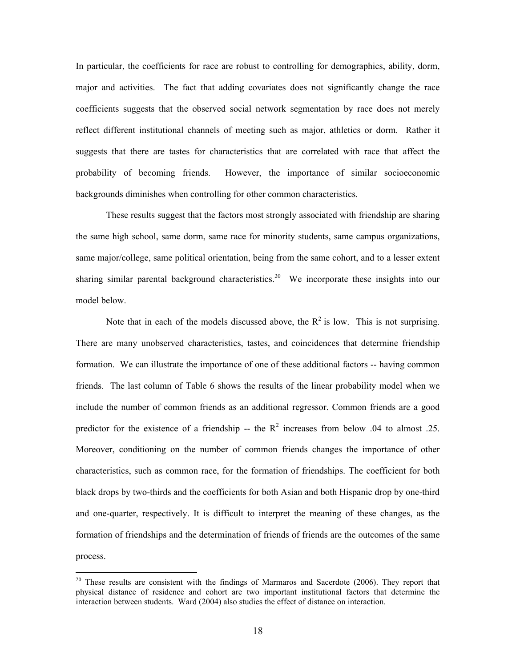In particular, the coefficients for race are robust to controlling for demographics, ability, dorm, major and activities. The fact that adding covariates does not significantly change the race coefficients suggests that the observed social network segmentation by race does not merely reflect different institutional channels of meeting such as major, athletics or dorm. Rather it suggests that there are tastes for characteristics that are correlated with race that affect the probability of becoming friends. However, the importance of similar socioeconomic backgrounds diminishes when controlling for other common characteristics.

 These results suggest that the factors most strongly associated with friendship are sharing the same high school, same dorm, same race for minority students, same campus organizations, same major/college, same political orientation, being from the same cohort, and to a lesser extent sharing similar parental background characteristics.<sup>20</sup> We incorporate these insights into our model below.

Note that in each of the models discussed above, the  $R^2$  is low. This is not surprising. There are many unobserved characteristics, tastes, and coincidences that determine friendship formation. We can illustrate the importance of one of these additional factors -- having common friends. The last column of Table 6 shows the results of the linear probability model when we include the number of common friends as an additional regressor. Common friends are a good predictor for the existence of a friendship -- the  $R^2$  increases from below .04 to almost .25. Moreover, conditioning on the number of common friends changes the importance of other characteristics, such as common race, for the formation of friendships. The coefficient for both black drops by two-thirds and the coefficients for both Asian and both Hispanic drop by one-third and one-quarter, respectively. It is difficult to interpret the meaning of these changes, as the formation of friendships and the determination of friends of friends are the outcomes of the same process.

 $20$  These results are consistent with the findings of Marmaros and Sacerdote (2006). They report that physical distance of residence and cohort are two important institutional factors that determine the interaction between students. Ward (2004) also studies the effect of distance on interaction.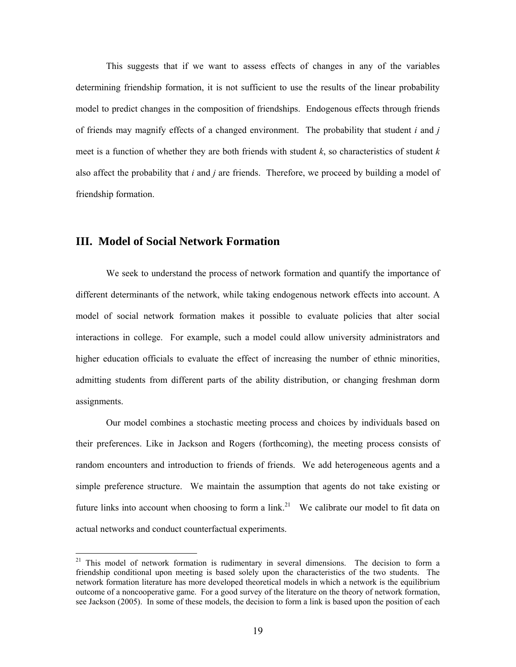This suggests that if we want to assess effects of changes in any of the variables determining friendship formation, it is not sufficient to use the results of the linear probability model to predict changes in the composition of friendships. Endogenous effects through friends of friends may magnify effects of a changed environment. The probability that student *i* and *j* meet is a function of whether they are both friends with student  $k$ , so characteristics of student  $k$ also affect the probability that *i* and *j* are friends. Therefore, we proceed by building a model of friendship formation.

## **III. Model of Social Network Formation**

 $\overline{a}$ 

We seek to understand the process of network formation and quantify the importance of different determinants of the network, while taking endogenous network effects into account. A model of social network formation makes it possible to evaluate policies that alter social interactions in college. For example, such a model could allow university administrators and higher education officials to evaluate the effect of increasing the number of ethnic minorities, admitting students from different parts of the ability distribution, or changing freshman dorm assignments.

Our model combines a stochastic meeting process and choices by individuals based on their preferences. Like in Jackson and Rogers (forthcoming), the meeting process consists of random encounters and introduction to friends of friends. We add heterogeneous agents and a simple preference structure. We maintain the assumption that agents do not take existing or future links into account when choosing to form a link.<sup>21</sup> We calibrate our model to fit data on actual networks and conduct counterfactual experiments.

<sup>&</sup>lt;sup>21</sup> This model of network formation is rudimentary in several dimensions. The decision to form a friendship conditional upon meeting is based solely upon the characteristics of the two students. The network formation literature has more developed theoretical models in which a network is the equilibrium outcome of a noncooperative game. For a good survey of the literature on the theory of network formation, see Jackson (2005). In some of these models, the decision to form a link is based upon the position of each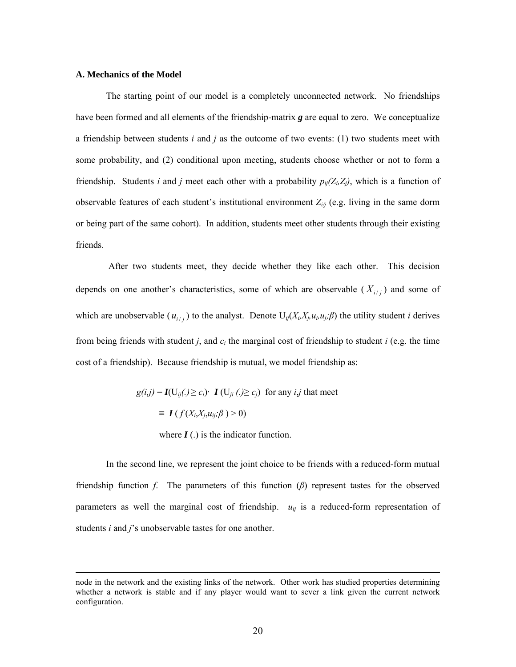#### **A. Mechanics of the Model**

The starting point of our model is a completely unconnected network. No friendships have been formed and all elements of the friendship-matrix *g* are equal to zero. We conceptualize a friendship between students *i* and *j* as the outcome of two events: (1) two students meet with some probability, and (2) conditional upon meeting, students choose whether or not to form a friendship. Students *i* and *j* meet each other with a probability  $p_{ii}(Z_i, Z_j)$ , which is a function of observable features of each student's institutional environment  $Z_{i,j}$  (e.g. living in the same dorm or being part of the same cohort). In addition, students meet other students through their existing friends.

 After two students meet, they decide whether they like each other. This decision depends on one another's characteristics, some of which are observable  $(X_{i,j})$  and some of which are unobservable  $(u_{i,j})$  to the analyst. Denote  $U_{ij}(X_i, X_j, u_i, u_j; \beta)$  the utility student *i* derives from being friends with student *j*, and *ci* the marginal cost of friendship to student *i* (e.g. the time cost of a friendship). Because friendship is mutual, we model friendship as:

> $g(i,j) = I(U_{ii}.) \ge c_i$  *I*  $(U_{ii}.) \ge c_j$  for any *i*,*j* that meet  $\equiv I(f(X_i, X_i, u_{ii}; \beta) > 0)$ where  $I(.)$  is the indicator function.

In the second line, we represent the joint choice to be friends with a reduced-form mutual friendship function *f*. The parameters of this function (*β*) represent tastes for the observed parameters as well the marginal cost of friendship.  $u_{ij}$  is a reduced-form representation of students *i* and *j*'s unobservable tastes for one another.

node in the network and the existing links of the network. Other work has studied properties determining whether a network is stable and if any player would want to sever a link given the current network configuration.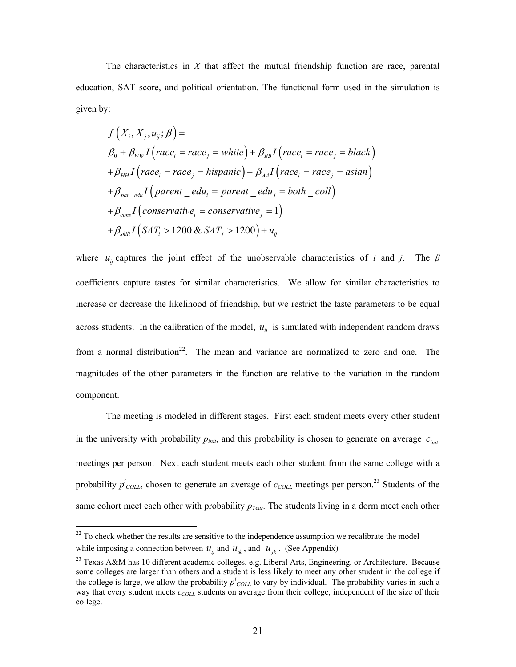The characteristics in *X* that affect the mutual friendship function are race, parental education, SAT score, and political orientation. The functional form used in the simulation is given by:

$$
f(X_i, X_j, u_{ij}; \beta) =
$$
\n
$$
\beta_0 + \beta_{WW} I \left( race_i = race_j = white \right) + \beta_{BB} I \left( race_i = race_j = black \right)
$$
\n
$$
+ \beta_{HH} I \left( race_i = race_j = hispanic \right) + \beta_{AA} I \left( race_i = race_j = Asian \right)
$$
\n
$$
+ \beta_{par\_edu} I \left( parent\_edu_i = parent\_edu_j = both\_coll \right)
$$
\n
$$
+ \beta_{cons} I \left( conservative_i = conservative_j = 1 \right)
$$
\n
$$
+ \beta_{skill} I \left( SAT_i > 1200 \& SAT_j > 1200 \right) + u_{ij}
$$

where  $u_{ij}$  captures the joint effect of the unobservable characteristics of *i* and *j*. The  $\beta$ coefficients capture tastes for similar characteristics. We allow for similar characteristics to increase or decrease the likelihood of friendship, but we restrict the taste parameters to be equal across students. In the calibration of the model,  $u_{ij}$  is simulated with independent random draws from a normal distribution<sup>22</sup>. The mean and variance are normalized to zero and one. The magnitudes of the other parameters in the function are relative to the variation in the random component.

The meeting is modeled in different stages. First each student meets every other student in the university with probability  $p_{init}$ , and this probability is chosen to generate on average  $c_{init}$ meetings per person. Next each student meets each other student from the same college with a probability  $p^i_{COL}$ , chosen to generate an average of  $c_{COL}$  meetings per person.<sup>23</sup> Students of the same cohort meet each other with probability  $p_{Year}$ . The students living in a dorm meet each other

 $22$  To check whether the results are sensitive to the independence assumption we recalibrate the model while imposing a connection between  $u_{ij}$  and  $u_{ik}$ , and  $u_{jk}$ . (See Appendix)

<sup>&</sup>lt;sup>23</sup> Texas A&M has 10 different academic colleges, e.g. Liberal Arts, Engineering, or Architecture. Because some colleges are larger than others and a student is less likely to meet any other student in the college if the college is large, we allow the probability  $p^i_{COLL}$  to vary by individual. The probability varies in such a way that every student meets  $c_{COLL}$  students on average from their college, independent of the size of their college.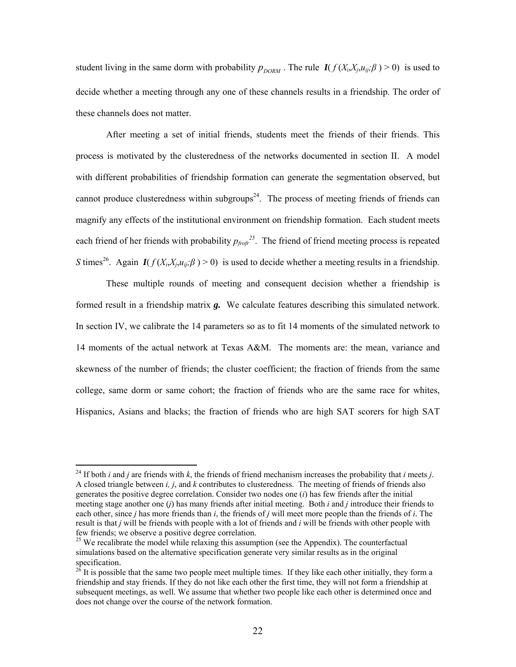student living in the same dorm with probability  $p_{DORM}$ . The rule  $I(f(X_i, X_j, u_{ij}; \beta) > 0)$  is used to decide whether a meeting through any one of these channels results in a friendship. The order of these channels does not matter.

After meeting a set of initial friends, students meet the friends of their friends. This process is motivated by the clusteredness of the networks documented in section II. A model with different probabilities of friendship formation can generate the segmentation observed, but cannot produce clusteredness within subgroups<sup>24</sup>. The process of meeting friends of friends can magnify any effects of the institutional environment on friendship formation. Each student meets each friend of her friends with probability  $p_{\text{frofr}}^{25}$ . The friend of friend meeting process is repeated *S* times<sup>26</sup>. Again *I*( $f(X_i, X_i, u_{ii}; \beta) > 0$ ) is used to decide whether a meeting results in a friendship.

These multiple rounds of meeting and consequent decision whether a friendship is formed result in a friendship matrix *g.* We calculate features describing this simulated network. In section IV, we calibrate the 14 parameters so as to fit 14 moments of the simulated network to 14 moments of the actual network at Texas A&M. The moments are: the mean, variance and skewness of the number of friends; the cluster coefficient; the fraction of friends from the same college, same dorm or same cohort; the fraction of friends who are the same race for whites, Hispanics, Asians and blacks; the fraction of friends who are high SAT scorers for high SAT

<sup>&</sup>lt;sup>24</sup> If both *i* and *j* are friends with *k*, the friends of friend mechanism increases the probability that *i* meets *j*. A closed triangle between *i, j*, and *k* contributes to clusteredness. The meeting of friends of friends also generates the positive degree correlation. Consider two nodes one (*i*) has few friends after the initial meeting stage another one (*j*) has many friends after initial meeting. Both *i* and *j* introduce their friends to each other, since *j* has more friends than *i*, the friends of *j* will meet more people than the friends of *i*. The result is that *j* will be friends with people with a lot of friends and *i* will be friends with other people with few friends; we observe a positive degree correlation.

<sup>&</sup>lt;sup>25</sup> We recalibrate the model while relaxing this assumption (see the Appendix). The counterfactual simulations based on the alternative specification generate very similar results as in the original specification.<br><sup>26</sup> It is possible that the same two people meet multiple times. If they like each other initially, they form a

friendship and stay friends. If they do not like each other the first time, they will not form a friendship at subsequent meetings, as well. We assume that whether two people like each other is determined once and does not change over the course of the network formation.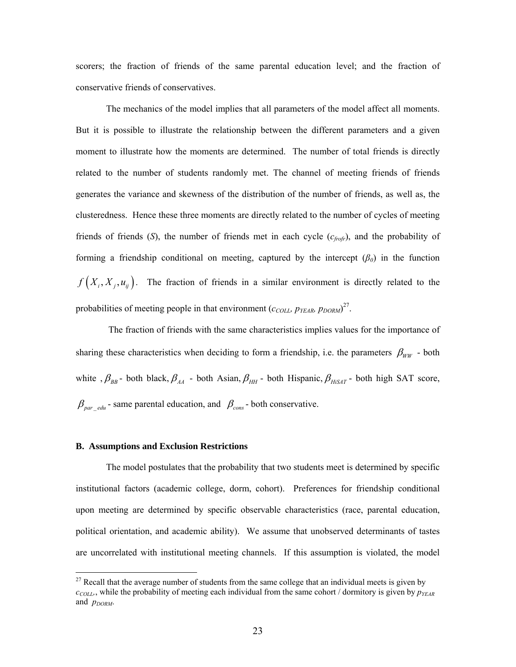scorers; the fraction of friends of the same parental education level; and the fraction of conservative friends of conservatives.

The mechanics of the model implies that all parameters of the model affect all moments. But it is possible to illustrate the relationship between the different parameters and a given moment to illustrate how the moments are determined. The number of total friends is directly related to the number of students randomly met. The channel of meeting friends of friends generates the variance and skewness of the distribution of the number of friends, as well as, the clusteredness. Hence these three moments are directly related to the number of cycles of meeting friends of friends (*S*), the number of friends met in each cycle (*cfrofr*), and the probability of forming a friendship conditional on meeting, captured by the intercept  $(\beta_0)$  in the function  $f(X_i, X_i, u_{ij})$ . The fraction of friends in a similar environment is directly related to the probabilities of meeting people in that environment  $(c_{COLL}, p_{VEAR}, p_{DORM})^{27}$ .

 The fraction of friends with the same characteristics implies values for the importance of sharing these characteristics when deciding to form a friendship, i.e. the parameters  $\beta_{WW}$  - both white ,  $\beta_{BB}$  - both black,  $\beta_{AA}$  - both Asian,  $\beta_{HH}$  - both Hispanic,  $\beta_{HISAT}$  - both high SAT score,  $\beta_{\text{par}}$   $_{\text{edu}}$  - same parental education, and  $\beta_{\text{cons}}$  - both conservative.

#### **B. Assumptions and Exclusion Restrictions**

 $\overline{a}$ 

The model postulates that the probability that two students meet is determined by specific institutional factors (academic college, dorm, cohort). Preferences for friendship conditional upon meeting are determined by specific observable characteristics (race, parental education, political orientation, and academic ability). We assume that unobserved determinants of tastes are uncorrelated with institutional meeting channels. If this assumption is violated, the model

 $27$  Recall that the average number of students from the same college that an individual meets is given by  $c_{COLL}$ , while the probability of meeting each individual from the same cohort / dormitory is given by  $p_{YEAR}$ and  $p_{DORM}$ .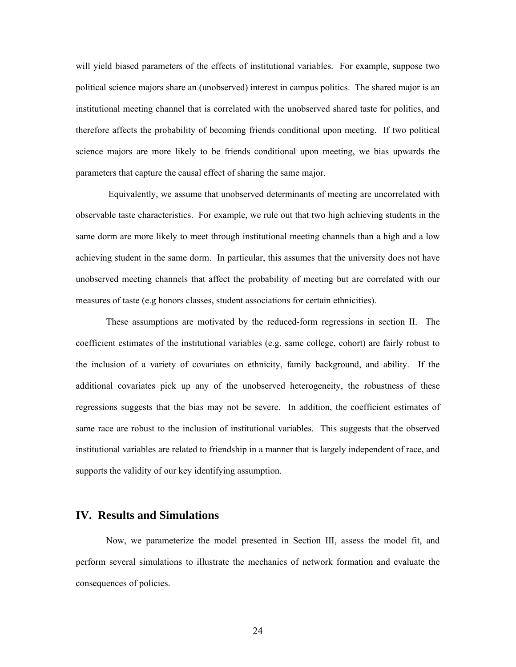will yield biased parameters of the effects of institutional variables. For example, suppose two political science majors share an (unobserved) interest in campus politics. The shared major is an institutional meeting channel that is correlated with the unobserved shared taste for politics, and therefore affects the probability of becoming friends conditional upon meeting. If two political science majors are more likely to be friends conditional upon meeting, we bias upwards the parameters that capture the causal effect of sharing the same major.

 Equivalently, we assume that unobserved determinants of meeting are uncorrelated with observable taste characteristics. For example, we rule out that two high achieving students in the same dorm are more likely to meet through institutional meeting channels than a high and a low achieving student in the same dorm. In particular, this assumes that the university does not have unobserved meeting channels that affect the probability of meeting but are correlated with our measures of taste (e.g honors classes, student associations for certain ethnicities).

These assumptions are motivated by the reduced-form regressions in section II. The coefficient estimates of the institutional variables (e.g. same college, cohort) are fairly robust to the inclusion of a variety of covariates on ethnicity, family background, and ability. If the additional covariates pick up any of the unobserved heterogeneity, the robustness of these regressions suggests that the bias may not be severe. In addition, the coefficient estimates of same race are robust to the inclusion of institutional variables. This suggests that the observed institutional variables are related to friendship in a manner that is largely independent of race, and supports the validity of our key identifying assumption.

## **IV. Results and Simulations**

 Now, we parameterize the model presented in Section III, assess the model fit, and perform several simulations to illustrate the mechanics of network formation and evaluate the consequences of policies.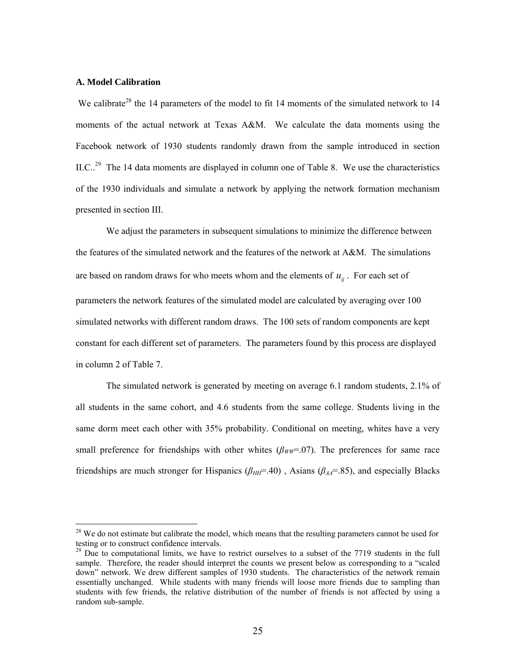#### **A. Model Calibration**

 $\overline{a}$ 

We calibrate<sup>28</sup> the 14 parameters of the model to fit 14 moments of the simulated network to 14 moments of the actual network at Texas A&M. We calculate the data moments using the Facebook network of 1930 students randomly drawn from the sample introduced in section II.C..<sup>29</sup> The 14 data moments are displayed in column one of Table 8. We use the characteristics of the 1930 individuals and simulate a network by applying the network formation mechanism presented in section III.

 We adjust the parameters in subsequent simulations to minimize the difference between the features of the simulated network and the features of the network at A&M. The simulations are based on random draws for who meets whom and the elements of  $u_{ij}$ . For each set of parameters the network features of the simulated model are calculated by averaging over 100 simulated networks with different random draws. The 100 sets of random components are kept constant for each different set of parameters. The parameters found by this process are displayed in column 2 of Table 7.

The simulated network is generated by meeting on average 6.1 random students, 2.1% of all students in the same cohort, and 4.6 students from the same college. Students living in the same dorm meet each other with 35% probability. Conditional on meeting, whites have a very small preference for friendships with other whites  $(\beta_{WW}=0.07)$ . The preferences for same race friendships are much stronger for Hispanics ( $\beta_{HH}$ =.40), Asians ( $\beta_{AA}$ =.85), and especially Blacks

<sup>&</sup>lt;sup>28</sup> We do not estimate but calibrate the model, which means that the resulting parameters cannot be used for testing or to construct confidence intervals.

 $29$  Due to computational limits, we have to restrict ourselves to a subset of the 7719 students in the full sample. Therefore, the reader should interpret the counts we present below as corresponding to a "scaled down" network. We drew different samples of 1930 students. The characteristics of the network remain essentially unchanged. While students with many friends will loose more friends due to sampling than students with few friends, the relative distribution of the number of friends is not affected by using a random sub-sample.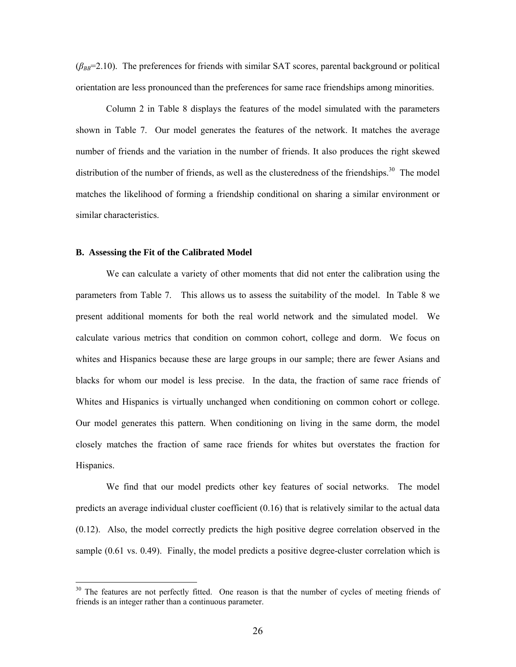$(\beta_{BB}=2.10)$ . The preferences for friends with similar SAT scores, parental background or political orientation are less pronounced than the preferences for same race friendships among minorities.

Column 2 in Table 8 displays the features of the model simulated with the parameters shown in Table 7. Our model generates the features of the network. It matches the average number of friends and the variation in the number of friends. It also produces the right skewed distribution of the number of friends, as well as the clusteredness of the friendships.<sup>30</sup> The model matches the likelihood of forming a friendship conditional on sharing a similar environment or similar characteristics.

#### **B. Assessing the Fit of the Calibrated Model**

 $\overline{a}$ 

We can calculate a variety of other moments that did not enter the calibration using the parameters from Table 7. This allows us to assess the suitability of the model. In Table 8 we present additional moments for both the real world network and the simulated model. We calculate various metrics that condition on common cohort, college and dorm. We focus on whites and Hispanics because these are large groups in our sample; there are fewer Asians and blacks for whom our model is less precise. In the data, the fraction of same race friends of Whites and Hispanics is virtually unchanged when conditioning on common cohort or college. Our model generates this pattern. When conditioning on living in the same dorm, the model closely matches the fraction of same race friends for whites but overstates the fraction for Hispanics.

We find that our model predicts other key features of social networks. The model predicts an average individual cluster coefficient (0.16) that is relatively similar to the actual data (0.12). Also, the model correctly predicts the high positive degree correlation observed in the sample (0.61 vs. 0.49). Finally, the model predicts a positive degree-cluster correlation which is

<sup>&</sup>lt;sup>30</sup> The features are not perfectly fitted. One reason is that the number of cycles of meeting friends of friends is an integer rather than a continuous parameter.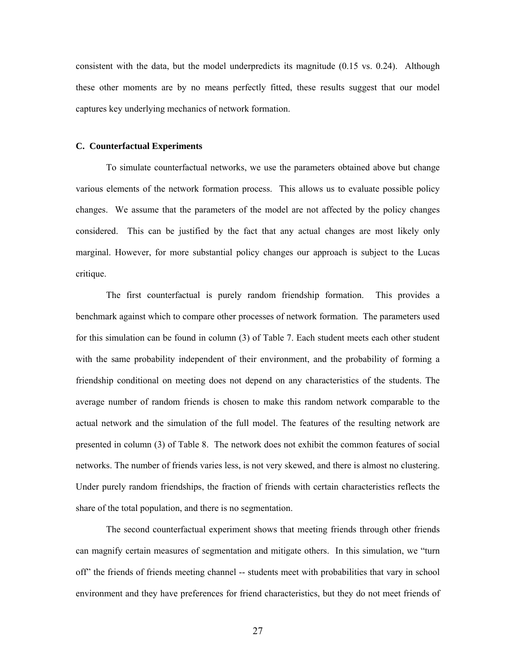consistent with the data, but the model underpredicts its magnitude (0.15 vs. 0.24). Although these other moments are by no means perfectly fitted, these results suggest that our model captures key underlying mechanics of network formation.

#### **C. Counterfactual Experiments**

To simulate counterfactual networks, we use the parameters obtained above but change various elements of the network formation process. This allows us to evaluate possible policy changes. We assume that the parameters of the model are not affected by the policy changes considered. This can be justified by the fact that any actual changes are most likely only marginal. However, for more substantial policy changes our approach is subject to the Lucas critique.

The first counterfactual is purely random friendship formation. This provides a benchmark against which to compare other processes of network formation. The parameters used for this simulation can be found in column (3) of Table 7. Each student meets each other student with the same probability independent of their environment, and the probability of forming a friendship conditional on meeting does not depend on any characteristics of the students. The average number of random friends is chosen to make this random network comparable to the actual network and the simulation of the full model. The features of the resulting network are presented in column (3) of Table 8. The network does not exhibit the common features of social networks. The number of friends varies less, is not very skewed, and there is almost no clustering. Under purely random friendships, the fraction of friends with certain characteristics reflects the share of the total population, and there is no segmentation.

The second counterfactual experiment shows that meeting friends through other friends can magnify certain measures of segmentation and mitigate others. In this simulation, we "turn off" the friends of friends meeting channel -- students meet with probabilities that vary in school environment and they have preferences for friend characteristics, but they do not meet friends of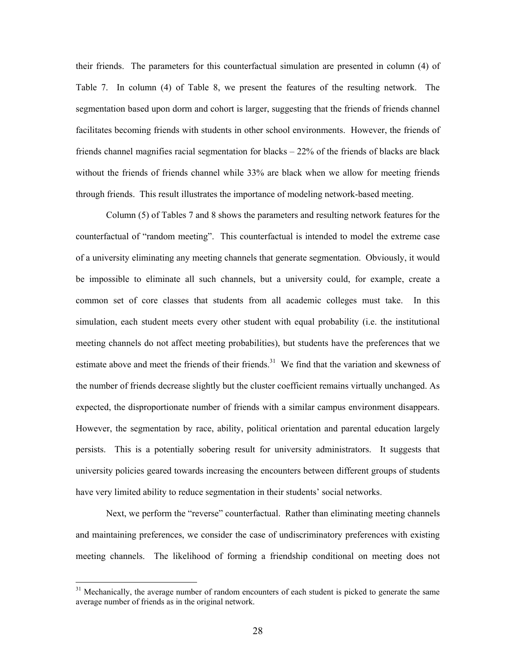their friends. The parameters for this counterfactual simulation are presented in column (4) of Table 7. In column (4) of Table 8, we present the features of the resulting network. The segmentation based upon dorm and cohort is larger, suggesting that the friends of friends channel facilitates becoming friends with students in other school environments. However, the friends of friends channel magnifies racial segmentation for blacks – 22% of the friends of blacks are black without the friends of friends channel while 33% are black when we allow for meeting friends through friends. This result illustrates the importance of modeling network-based meeting.

Column (5) of Tables 7 and 8 shows the parameters and resulting network features for the counterfactual of "random meeting". This counterfactual is intended to model the extreme case of a university eliminating any meeting channels that generate segmentation. Obviously, it would be impossible to eliminate all such channels, but a university could, for example, create a common set of core classes that students from all academic colleges must take. In this simulation, each student meets every other student with equal probability (i.e. the institutional meeting channels do not affect meeting probabilities), but students have the preferences that we estimate above and meet the friends of their friends.<sup>31</sup> We find that the variation and skewness of the number of friends decrease slightly but the cluster coefficient remains virtually unchanged. As expected, the disproportionate number of friends with a similar campus environment disappears. However, the segmentation by race, ability, political orientation and parental education largely persists. This is a potentially sobering result for university administrators. It suggests that university policies geared towards increasing the encounters between different groups of students have very limited ability to reduce segmentation in their students' social networks.

Next, we perform the "reverse" counterfactual. Rather than eliminating meeting channels and maintaining preferences, we consider the case of undiscriminatory preferences with existing meeting channels. The likelihood of forming a friendship conditional on meeting does not

<sup>&</sup>lt;sup>31</sup> Mechanically, the average number of random encounters of each student is picked to generate the same average number of friends as in the original network.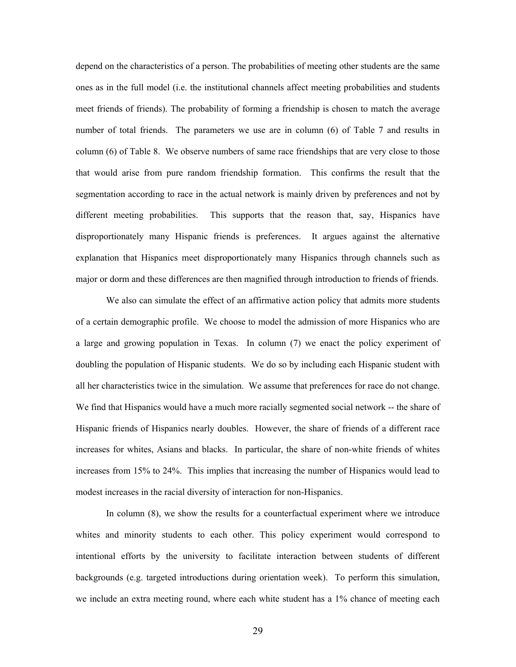depend on the characteristics of a person. The probabilities of meeting other students are the same ones as in the full model (i.e. the institutional channels affect meeting probabilities and students meet friends of friends). The probability of forming a friendship is chosen to match the average number of total friends. The parameters we use are in column (6) of Table 7 and results in column (6) of Table 8. We observe numbers of same race friendships that are very close to those that would arise from pure random friendship formation. This confirms the result that the segmentation according to race in the actual network is mainly driven by preferences and not by different meeting probabilities. This supports that the reason that, say, Hispanics have disproportionately many Hispanic friends is preferences. It argues against the alternative explanation that Hispanics meet disproportionately many Hispanics through channels such as major or dorm and these differences are then magnified through introduction to friends of friends.

We also can simulate the effect of an affirmative action policy that admits more students of a certain demographic profile. We choose to model the admission of more Hispanics who are a large and growing population in Texas. In column (7) we enact the policy experiment of doubling the population of Hispanic students. We do so by including each Hispanic student with all her characteristics twice in the simulation. We assume that preferences for race do not change. We find that Hispanics would have a much more racially segmented social network -- the share of Hispanic friends of Hispanics nearly doubles. However, the share of friends of a different race increases for whites, Asians and blacks. In particular, the share of non-white friends of whites increases from 15% to 24%. This implies that increasing the number of Hispanics would lead to modest increases in the racial diversity of interaction for non-Hispanics.

In column (8), we show the results for a counterfactual experiment where we introduce whites and minority students to each other. This policy experiment would correspond to intentional efforts by the university to facilitate interaction between students of different backgrounds (e.g. targeted introductions during orientation week). To perform this simulation, we include an extra meeting round, where each white student has a 1% chance of meeting each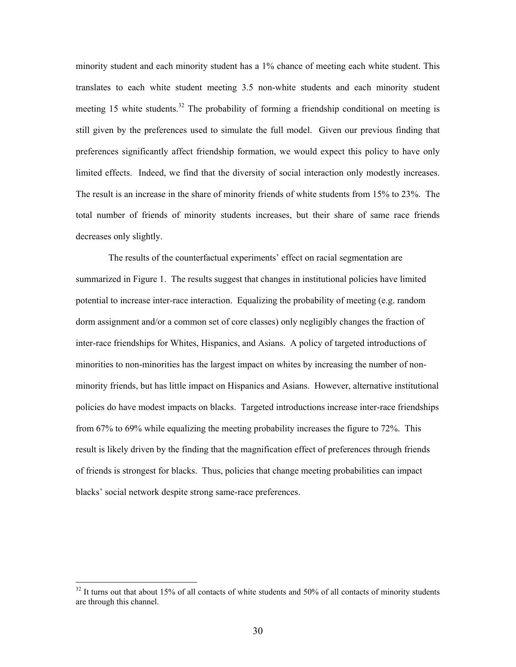minority student and each minority student has a 1% chance of meeting each white student. This translates to each white student meeting 3.5 non-white students and each minority student meeting 15 white students.<sup>32</sup> The probability of forming a friendship conditional on meeting is still given by the preferences used to simulate the full model. Given our previous finding that preferences significantly affect friendship formation, we would expect this policy to have only limited effects. Indeed, we find that the diversity of social interaction only modestly increases. The result is an increase in the share of minority friends of white students from 15% to 23%. The total number of friends of minority students increases, but their share of same race friends decreases only slightly.

 The results of the counterfactual experiments' effect on racial segmentation are summarized in Figure 1. The results suggest that changes in institutional policies have limited potential to increase inter-race interaction. Equalizing the probability of meeting (e.g. random dorm assignment and/or a common set of core classes) only negligibly changes the fraction of inter-race friendships for Whites, Hispanics, and Asians. A policy of targeted introductions of minorities to non-minorities has the largest impact on whites by increasing the number of nonminority friends, but has little impact on Hispanics and Asians. However, alternative institutional policies do have modest impacts on blacks. Targeted introductions increase inter-race friendships from 67% to 69% while equalizing the meeting probability increases the figure to 72%. This result is likely driven by the finding that the magnification effect of preferences through friends of friends is strongest for blacks. Thus, policies that change meeting probabilities can impact blacks' social network despite strong same-race preferences.

 $32$  It turns out that about 15% of all contacts of white students and 50% of all contacts of minority students are through this channel.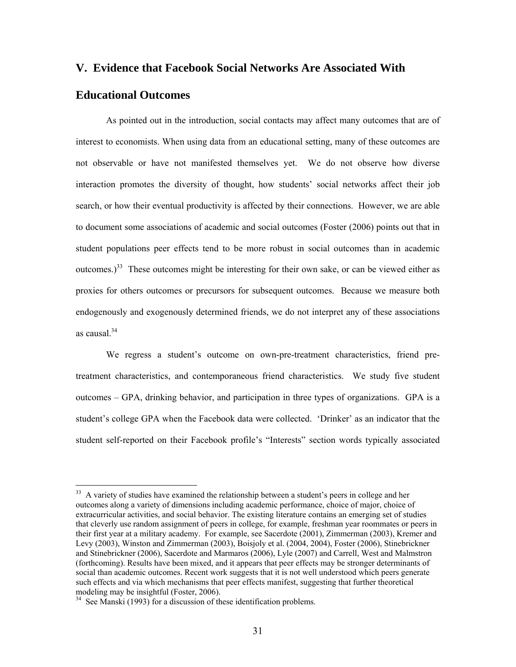## **V. Evidence that Facebook Social Networks Are Associated With**

## **Educational Outcomes**

 $\overline{a}$ 

As pointed out in the introduction, social contacts may affect many outcomes that are of interest to economists. When using data from an educational setting, many of these outcomes are not observable or have not manifested themselves yet. We do not observe how diverse interaction promotes the diversity of thought, how students' social networks affect their job search, or how their eventual productivity is affected by their connections. However, we are able to document some associations of academic and social outcomes (Foster (2006) points out that in student populations peer effects tend to be more robust in social outcomes than in academic outcomes.)33 These outcomes might be interesting for their own sake, or can be viewed either as proxies for others outcomes or precursors for subsequent outcomes. Because we measure both endogenously and exogenously determined friends, we do not interpret any of these associations as causal.34

We regress a student's outcome on own-pre-treatment characteristics, friend pretreatment characteristics, and contemporaneous friend characteristics. We study five student outcomes – GPA, drinking behavior, and participation in three types of organizations. GPA is a student's college GPA when the Facebook data were collected. 'Drinker' as an indicator that the student self-reported on their Facebook profile's "Interests" section words typically associated

<sup>&</sup>lt;sup>33</sup> A variety of studies have examined the relationship between a student's peers in college and her outcomes along a variety of dimensions including academic performance, choice of major, choice of extracurricular activities, and social behavior. The existing literature contains an emerging set of studies that cleverly use random assignment of peers in college, for example, freshman year roommates or peers in their first year at a military academy. For example, see Sacerdote (2001), Zimmerman (2003), Kremer and Levy (2003), Winston and Zimmerman (2003), Boisjoly et al. (2004, 2004), Foster (2006), Stinebrickner and Stinebrickner (2006), Sacerdote and Marmaros (2006), Lyle (2007) and Carrell, West and Malmstron (forthcoming). Results have been mixed, and it appears that peer effects may be stronger determinants of social than academic outcomes. Recent work suggests that it is not well understood which peers generate such effects and via which mechanisms that peer effects manifest, suggesting that further theoretical modeling may be insightful (Foster, 2006).

 $34$  See Manski (1993) for a discussion of these identification problems.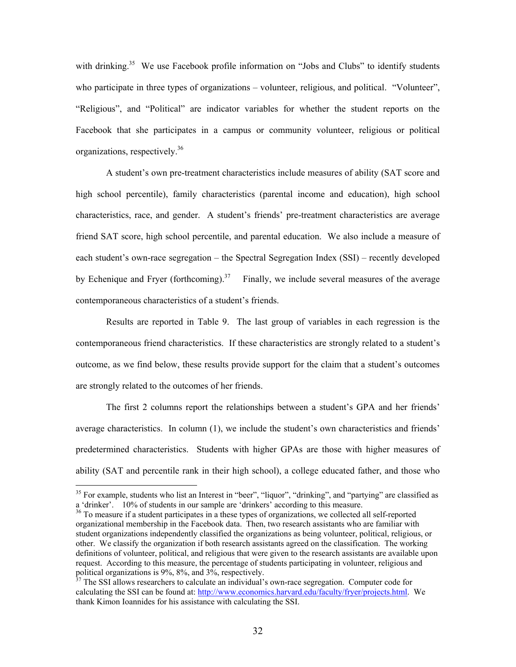with drinking.<sup>35</sup> We use Facebook profile information on "Jobs and Clubs" to identify students who participate in three types of organizations – volunteer, religious, and political. "Volunteer", "Religious", and "Political" are indicator variables for whether the student reports on the Facebook that she participates in a campus or community volunteer, religious or political organizations, respectively.36

A student's own pre-treatment characteristics include measures of ability (SAT score and high school percentile), family characteristics (parental income and education), high school characteristics, race, and gender. A student's friends' pre-treatment characteristics are average friend SAT score, high school percentile, and parental education. We also include a measure of each student's own-race segregation – the Spectral Segregation Index (SSI) – recently developed by Echenique and Fryer (forthcoming).<sup>37</sup> Finally, we include several measures of the average contemporaneous characteristics of a student's friends.

Results are reported in Table 9. The last group of variables in each regression is the contemporaneous friend characteristics. If these characteristics are strongly related to a student's outcome, as we find below, these results provide support for the claim that a student's outcomes are strongly related to the outcomes of her friends.

The first 2 columns report the relationships between a student's GPA and her friends' average characteristics. In column (1), we include the student's own characteristics and friends' predetermined characteristics. Students with higher GPAs are those with higher measures of ability (SAT and percentile rank in their high school), a college educated father, and those who

<sup>&</sup>lt;sup>35</sup> For example, students who list an Interest in "beer", "liquor", "drinking", and "partying" are classified as a 'drinker'.  $10\%$  of students in our sample are 'drinkers' according to this measure.

 $36$  To measure if a student participates in a these types of organizations, we collected all self-reported organizational membership in the Facebook data. Then, two research assistants who are familiar with student organizations independently classified the organizations as being volunteer, political, religious, or other. We classify the organization if both research assistants agreed on the classification. The working definitions of volunteer, political, and religious that were given to the research assistants are available upon request. According to this measure, the percentage of students participating in volunteer, religious and political organizations is 9%, 8%, and 3%, respectively.

 $37$  The SSI allows researchers to calculate an individual's own-race segregation. Computer code for calculating the SSI can be found at: http://www.economics.harvard.edu/faculty/fryer/projects.html. We thank Kimon Ioannides for his assistance with calculating the SSI.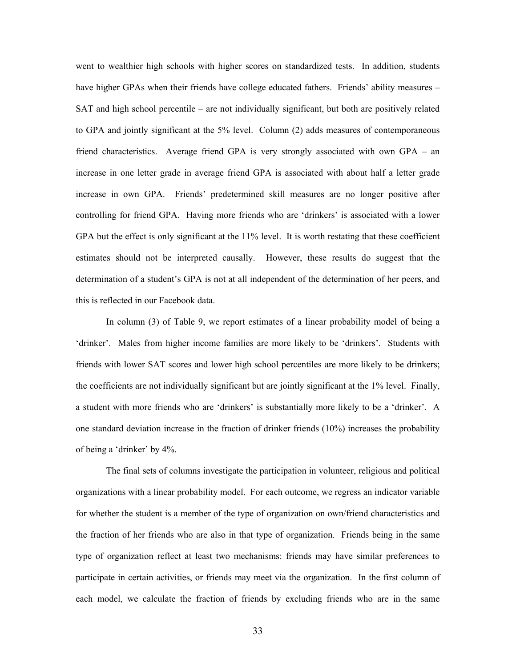went to wealthier high schools with higher scores on standardized tests. In addition, students have higher GPAs when their friends have college educated fathers. Friends' ability measures – SAT and high school percentile – are not individually significant, but both are positively related to GPA and jointly significant at the 5% level. Column (2) adds measures of contemporaneous friend characteristics. Average friend GPA is very strongly associated with own GPA – an increase in one letter grade in average friend GPA is associated with about half a letter grade increase in own GPA. Friends' predetermined skill measures are no longer positive after controlling for friend GPA. Having more friends who are 'drinkers' is associated with a lower GPA but the effect is only significant at the 11% level. It is worth restating that these coefficient estimates should not be interpreted causally. However, these results do suggest that the determination of a student's GPA is not at all independent of the determination of her peers, and this is reflected in our Facebook data.

In column (3) of Table 9, we report estimates of a linear probability model of being a 'drinker'. Males from higher income families are more likely to be 'drinkers'. Students with friends with lower SAT scores and lower high school percentiles are more likely to be drinkers; the coefficients are not individually significant but are jointly significant at the 1% level. Finally, a student with more friends who are 'drinkers' is substantially more likely to be a 'drinker'. A one standard deviation increase in the fraction of drinker friends (10%) increases the probability of being a 'drinker' by 4%.

The final sets of columns investigate the participation in volunteer, religious and political organizations with a linear probability model. For each outcome, we regress an indicator variable for whether the student is a member of the type of organization on own/friend characteristics and the fraction of her friends who are also in that type of organization. Friends being in the same type of organization reflect at least two mechanisms: friends may have similar preferences to participate in certain activities, or friends may meet via the organization. In the first column of each model, we calculate the fraction of friends by excluding friends who are in the same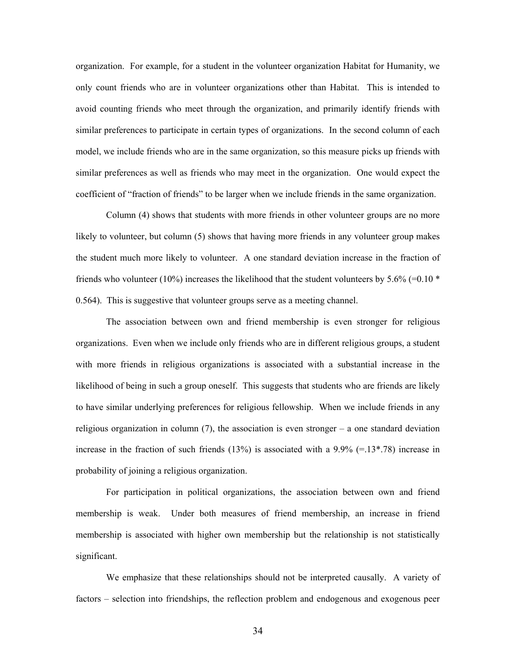organization. For example, for a student in the volunteer organization Habitat for Humanity, we only count friends who are in volunteer organizations other than Habitat. This is intended to avoid counting friends who meet through the organization, and primarily identify friends with similar preferences to participate in certain types of organizations. In the second column of each model, we include friends who are in the same organization, so this measure picks up friends with similar preferences as well as friends who may meet in the organization. One would expect the coefficient of "fraction of friends" to be larger when we include friends in the same organization.

 Column (4) shows that students with more friends in other volunteer groups are no more likely to volunteer, but column (5) shows that having more friends in any volunteer group makes the student much more likely to volunteer. A one standard deviation increase in the fraction of friends who volunteer (10%) increases the likelihood that the student volunteers by 5.6% (=0.10  $*$ ) 0.564). This is suggestive that volunteer groups serve as a meeting channel.

 The association between own and friend membership is even stronger for religious organizations. Even when we include only friends who are in different religious groups, a student with more friends in religious organizations is associated with a substantial increase in the likelihood of being in such a group oneself. This suggests that students who are friends are likely to have similar underlying preferences for religious fellowship. When we include friends in any religious organization in column  $(7)$ , the association is even stronger – a one standard deviation increase in the fraction of such friends  $(13%)$  is associated with a 9.9% (=.13\*.78) increase in probability of joining a religious organization.

 For participation in political organizations, the association between own and friend membership is weak. Under both measures of friend membership, an increase in friend membership is associated with higher own membership but the relationship is not statistically significant.

 We emphasize that these relationships should not be interpreted causally. A variety of factors – selection into friendships, the reflection problem and endogenous and exogenous peer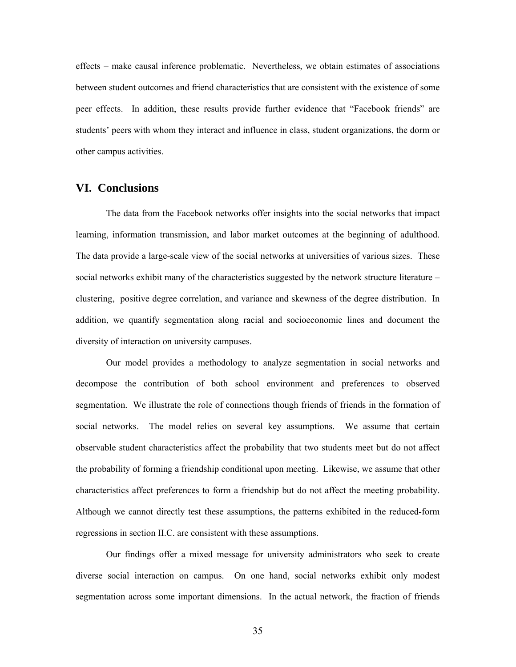effects – make causal inference problematic. Nevertheless, we obtain estimates of associations between student outcomes and friend characteristics that are consistent with the existence of some peer effects. In addition, these results provide further evidence that "Facebook friends" are students' peers with whom they interact and influence in class, student organizations, the dorm or other campus activities.

## **VI. Conclusions**

The data from the Facebook networks offer insights into the social networks that impact learning, information transmission, and labor market outcomes at the beginning of adulthood. The data provide a large-scale view of the social networks at universities of various sizes. These social networks exhibit many of the characteristics suggested by the network structure literature – clustering, positive degree correlation, and variance and skewness of the degree distribution. In addition, we quantify segmentation along racial and socioeconomic lines and document the diversity of interaction on university campuses.

 Our model provides a methodology to analyze segmentation in social networks and decompose the contribution of both school environment and preferences to observed segmentation. We illustrate the role of connections though friends of friends in the formation of social networks. The model relies on several key assumptions. We assume that certain observable student characteristics affect the probability that two students meet but do not affect the probability of forming a friendship conditional upon meeting. Likewise, we assume that other characteristics affect preferences to form a friendship but do not affect the meeting probability. Although we cannot directly test these assumptions, the patterns exhibited in the reduced-form regressions in section II.C. are consistent with these assumptions.

 Our findings offer a mixed message for university administrators who seek to create diverse social interaction on campus. On one hand, social networks exhibit only modest segmentation across some important dimensions. In the actual network, the fraction of friends

35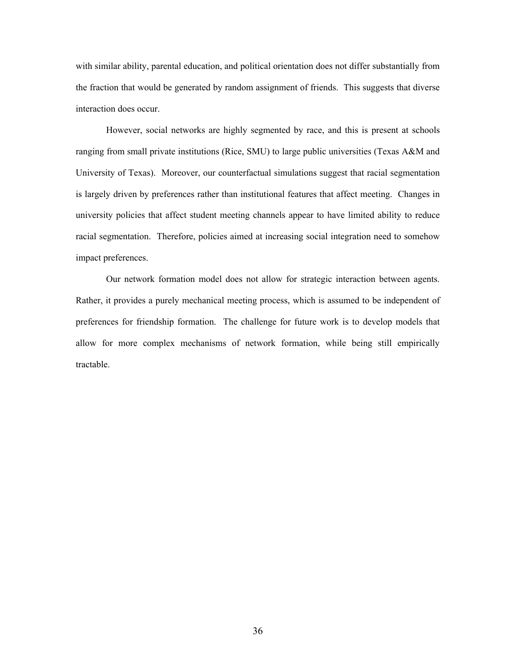with similar ability, parental education, and political orientation does not differ substantially from the fraction that would be generated by random assignment of friends. This suggests that diverse interaction does occur.

 However, social networks are highly segmented by race, and this is present at schools ranging from small private institutions (Rice, SMU) to large public universities (Texas A&M and University of Texas). Moreover, our counterfactual simulations suggest that racial segmentation is largely driven by preferences rather than institutional features that affect meeting. Changes in university policies that affect student meeting channels appear to have limited ability to reduce racial segmentation. Therefore, policies aimed at increasing social integration need to somehow impact preferences.

 Our network formation model does not allow for strategic interaction between agents. Rather, it provides a purely mechanical meeting process, which is assumed to be independent of preferences for friendship formation. The challenge for future work is to develop models that allow for more complex mechanisms of network formation, while being still empirically tractable.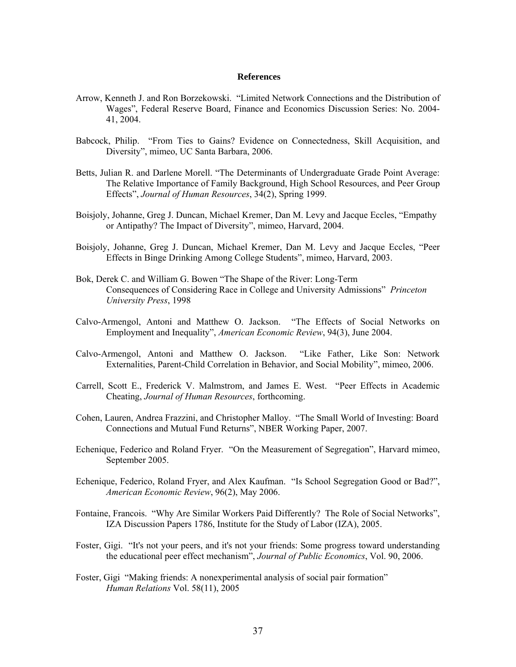#### **References**

- Arrow, Kenneth J. and Ron Borzekowski. "Limited Network Connections and the Distribution of Wages", Federal Reserve Board, Finance and Economics Discussion Series: No. 2004- 41, 2004.
- Babcock, Philip. "From Ties to Gains? Evidence on Connectedness, Skill Acquisition, and Diversity", mimeo, UC Santa Barbara, 2006.
- Betts, Julian R. and Darlene Morell. "The Determinants of Undergraduate Grade Point Average: The Relative Importance of Family Background, High School Resources, and Peer Group Effects", *Journal of Human Resources*, 34(2), Spring 1999.
- Boisjoly, Johanne, Greg J. Duncan, Michael Kremer, Dan M. Levy and Jacque Eccles, "Empathy or Antipathy? The Impact of Diversity", mimeo, Harvard, 2004.
- Boisjoly, Johanne, Greg J. Duncan, Michael Kremer, Dan M. Levy and Jacque Eccles, "Peer Effects in Binge Drinking Among College Students", mimeo, Harvard, 2003.
- Bok, Derek C. and William G. Bowen "The Shape of the River: Long-Term Consequences of Considering Race in College and University Admissions" *Princeton University Press*, 1998
- Calvo-Armengol, Antoni and Matthew O. Jackson. "The Effects of Social Networks on Employment and Inequality", *American Economic Review*, 94(3), June 2004.
- Calvo-Armengol, Antoni and Matthew O. Jackson. "Like Father, Like Son: Network Externalities, Parent-Child Correlation in Behavior, and Social Mobility", mimeo, 2006.
- Carrell, Scott E., Frederick V. Malmstrom, and James E. West. "Peer Effects in Academic Cheating, *Journal of Human Resources*, forthcoming.
- Cohen, Lauren, Andrea Frazzini, and Christopher Malloy. "The Small World of Investing: Board Connections and Mutual Fund Returns", NBER Working Paper, 2007.
- Echenique, Federico and Roland Fryer. "On the Measurement of Segregation", Harvard mimeo, September 2005.
- Echenique, Federico, Roland Fryer, and Alex Kaufman. "Is School Segregation Good or Bad?", *American Economic Review*, 96(2), May 2006.
- Fontaine, Francois. "Why Are Similar Workers Paid Differently? The Role of Social Networks", IZA Discussion Papers 1786, Institute for the Study of Labor (IZA), 2005.
- Foster, Gigi. "It's not your peers, and it's not your friends: Some progress toward understanding the educational peer effect mechanism", *Journal of Public Economics*, Vol. 90, 2006.
- Foster, Gigi "Making friends: A nonexperimental analysis of social pair formation" *Human Relations* Vol. 58(11), 2005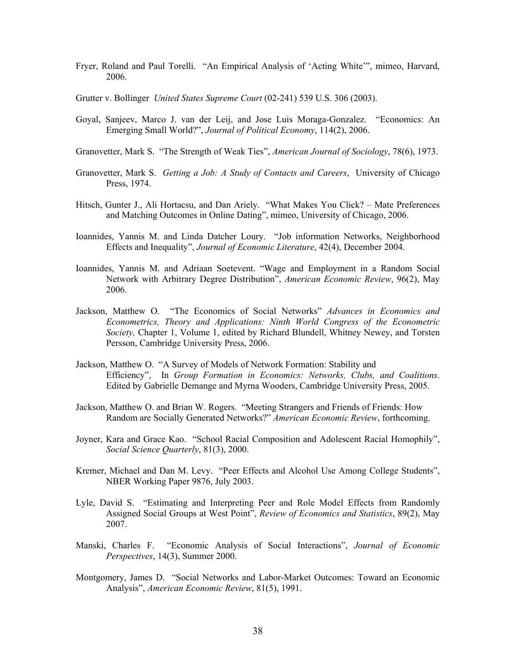- Fryer, Roland and Paul Torelli. "An Empirical Analysis of 'Acting White'", mimeo, Harvard, 2006.
- Grutter v. Bollinger *United States Supreme Court* (02-241) 539 U.S. 306 (2003).
- Goyal, Sanjeev, Marco J. van der Leij, and Jose Luis Moraga-Gonzalez. "Economics: An Emerging Small World?", *Journal of Political Economy*, 114(2), 2006.
- Granovetter, Mark S. "The Strength of Weak Ties", *American Journal of Sociology*, 78(6), 1973.
- Granovetter, Mark S. *Getting a Job: A Study of Contacts and Careers*, University of Chicago Press, 1974.
- Hitsch, Gunter J., Ali Hortacsu, and Dan Ariely. "What Makes You Click? Mate Preferences and Matching Outcomes in Online Dating", mimeo, University of Chicago, 2006.
- Ioannides, Yannis M. and Linda Datcher Loury. "Job information Networks, Neighborhood Effects and Inequality", *Journal of Economic Literature*, 42(4), December 2004.
- Ioannides, Yannis M. and Adriaan Soetevent. "Wage and Employment in a Random Social Network with Arbitrary Degree Distribution", *American Economic Review*, 96(2), May 2006.
- Jackson, Matthew O. "The Economics of Social Networks" *Advances in Economics and Econometrics, Theory and Applications: Ninth World Congress of the Econometric Society,* Chapter 1, Volume 1, edited by Richard Blundell, Whitney Newey, and Torsten Persson, Cambridge University Press, 2006.
- Jackson, Matthew O. "A Survey of Models of Network Formation: Stability and Efficiency", In *Group Formation in Economics: Networks, Clubs, and Coalitions*. Edited by Gabrielle Demange and Myrna Wooders, Cambridge University Press, 2005.
- Jackson, Matthew O. and Brian W. Rogers. "Meeting Strangers and Friends of Friends: How Random are Socially Generated Networks?" *American Economic Review*, forthcoming.
- Joyner, Kara and Grace Kao. "School Racial Composition and Adolescent Racial Homophily", *Social Science Quarterly*, 81(3), 2000.
- Kremer, Michael and Dan M. Levy. "Peer Effects and Alcohol Use Among College Students", NBER Working Paper 9876, July 2003.
- Lyle, David S. "Estimating and Interpreting Peer and Role Model Effects from Randomly Assigned Social Groups at West Point", *Review of Economics and Statistics*, 89(2), May 2007.
- Manski, Charles F. "Economic Analysis of Social Interactions", *Journal of Economic Perspectives*, 14(3), Summer 2000.
- Montgomery, James D. "Social Networks and Labor-Market Outcomes: Toward an Economic Analysis", *American Economic Review*, 81(5), 1991.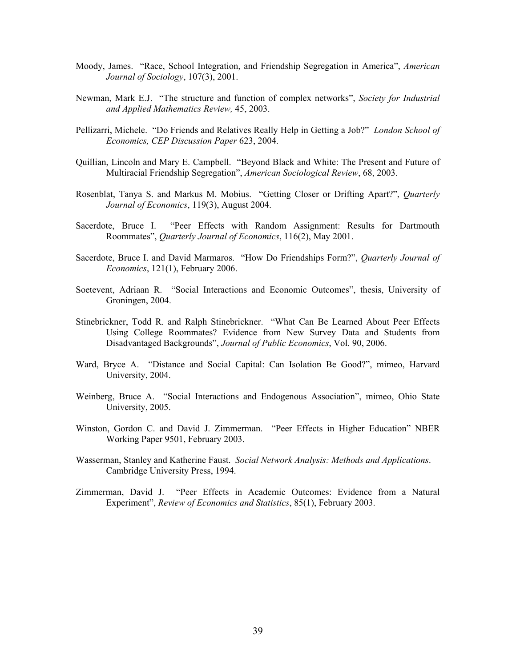- Moody, James. "Race, School Integration, and Friendship Segregation in America", *American Journal of Sociology*, 107(3), 2001.
- Newman, Mark E.J. "The structure and function of complex networks", *Society for Industrial and Applied Mathematics Review,* 45, 2003.
- Pellizarri, Michele. "Do Friends and Relatives Really Help in Getting a Job?" *London School of Economics, CEP Discussion Paper* 623, 2004.
- Quillian, Lincoln and Mary E. Campbell. "Beyond Black and White: The Present and Future of Multiracial Friendship Segregation", *American Sociological Review*, 68, 2003.
- Rosenblat, Tanya S. and Markus M. Mobius. "Getting Closer or Drifting Apart?", *Quarterly Journal of Economics*, 119(3), August 2004.
- Sacerdote, Bruce I. "Peer Effects with Random Assignment: Results for Dartmouth Roommates", *Quarterly Journal of Economics*, 116(2), May 2001.
- Sacerdote, Bruce I. and David Marmaros. "How Do Friendships Form?", *Quarterly Journal of Economics*, 121(1), February 2006.
- Soetevent, Adriaan R. "Social Interactions and Economic Outcomes", thesis, University of Groningen, 2004.
- Stinebrickner, Todd R. and Ralph Stinebrickner. "What Can Be Learned About Peer Effects Using College Roommates? Evidence from New Survey Data and Students from Disadvantaged Backgrounds", *Journal of Public Economics*, Vol. 90, 2006.
- Ward, Bryce A. "Distance and Social Capital: Can Isolation Be Good?", mimeo, Harvard University, 2004.
- Weinberg, Bruce A. "Social Interactions and Endogenous Association", mimeo, Ohio State University, 2005.
- Winston, Gordon C. and David J. Zimmerman. "Peer Effects in Higher Education" NBER Working Paper 9501, February 2003.
- Wasserman, Stanley and Katherine Faust. *Social Network Analysis: Methods and Applications*. Cambridge University Press, 1994.
- Zimmerman, David J. "Peer Effects in Academic Outcomes: Evidence from a Natural Experiment", *Review of Economics and Statistics*, 85(1), February 2003.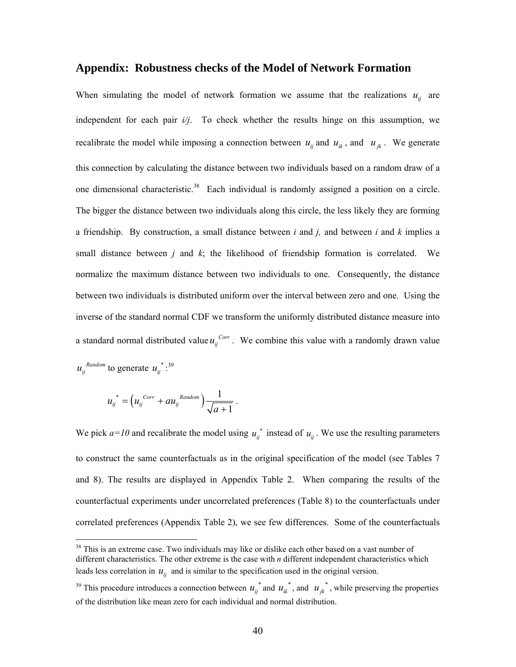### **Appendix: Robustness checks of the Model of Network Formation**

When simulating the model of network formation we assume that the realizations  $u_{ij}$  are independent for each pair *i/j*. To check whether the results hinge on this assumption, we recalibrate the model while imposing a connection between  $u_{ij}$  and  $u_{ik}$ , and  $u_{ik}$ . We generate this connection by calculating the distance between two individuals based on a random draw of a one dimensional characteristic.<sup>38</sup> Each individual is randomly assigned a position on a circle. The bigger the distance between two individuals along this circle, the less likely they are forming a friendship. By construction, a small distance between *i* and *j,* and between *i* and *k* implies a small distance between *j* and *k*; the likelihood of friendship formation is correlated. We normalize the maximum distance between two individuals to one. Consequently, the distance between two individuals is distributed uniform over the interval between zero and one. Using the inverse of the standard normal CDF we transform the uniformly distributed distance measure into a standard normal distributed value  $u_{ij}^{corr}$ . We combine this value with a randomly drawn value  $u_{ij}^{Random}$  to generate  $u_{ij}^{*}$  :<sup>39</sup>

$$
u_{ij}^* = \left(u_{ij}^{Corr} + au_{ij}^{Random}\right) \frac{1}{\sqrt{a+1}}.
$$

 $\overline{a}$ 

We pick  $a=10$  and recalibrate the model using  $u_{ij}^*$  instead of  $u_{ij}$ . We use the resulting parameters to construct the same counterfactuals as in the original specification of the model (see Tables 7 and 8). The results are displayed in Appendix Table 2. When comparing the results of the counterfactual experiments under uncorrelated preferences (Table 8) to the counterfactuals under correlated preferences (Appendix Table 2), we see few differences. Some of the counterfactuals

 $38$  This is an extreme case. Two individuals may like or dislike each other based on a vast number of different characteristics. The other extreme is the case with *n* different independent characteristics which leads less correlation in  $u_{ij}$  and is similar to the specification used in the original version.

<sup>&</sup>lt;sup>39</sup> This procedure introduces a connection between  $u_{ij}^*$  and  $u_{ik}^*$ , and  $u_{jk}^*$ , while preserving the properties of the distribution like mean zero for each individual and normal distribution.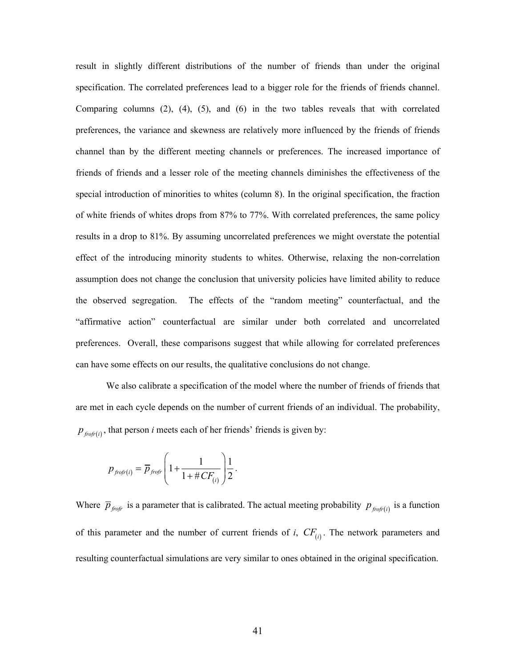result in slightly different distributions of the number of friends than under the original specification. The correlated preferences lead to a bigger role for the friends of friends channel. Comparing columns (2), (4), (5), and (6) in the two tables reveals that with correlated preferences, the variance and skewness are relatively more influenced by the friends of friends channel than by the different meeting channels or preferences. The increased importance of friends of friends and a lesser role of the meeting channels diminishes the effectiveness of the special introduction of minorities to whites (column 8). In the original specification, the fraction of white friends of whites drops from 87% to 77%. With correlated preferences, the same policy results in a drop to 81%. By assuming uncorrelated preferences we might overstate the potential effect of the introducing minority students to whites. Otherwise, relaxing the non-correlation assumption does not change the conclusion that university policies have limited ability to reduce the observed segregation. The effects of the "random meeting" counterfactual, and the "affirmative action" counterfactual are similar under both correlated and uncorrelated preferences. Overall, these comparisons suggest that while allowing for correlated preferences can have some effects on our results, the qualitative conclusions do not change.

We also calibrate a specification of the model where the number of friends of friends that are met in each cycle depends on the number of current friends of an individual. The probability,  $p_{\text{front}(i)}$ , that person *i* meets each of her friends' friends is given by:

$$
p_{\text{frofr}(i)} = \overline{p}_{\text{frofr}} \left( 1 + \frac{1}{1 + \# CF_{(i)}} \right) \frac{1}{2}.
$$

Where  $\bar{p}_{\text{for}}$  is a parameter that is calibrated. The actual meeting probability  $p_{\text{for}}(i)$  is a function of this parameter and the number of current friends of *i*,  $CF_{(i)}$ . The network parameters and resulting counterfactual simulations are very similar to ones obtained in the original specification.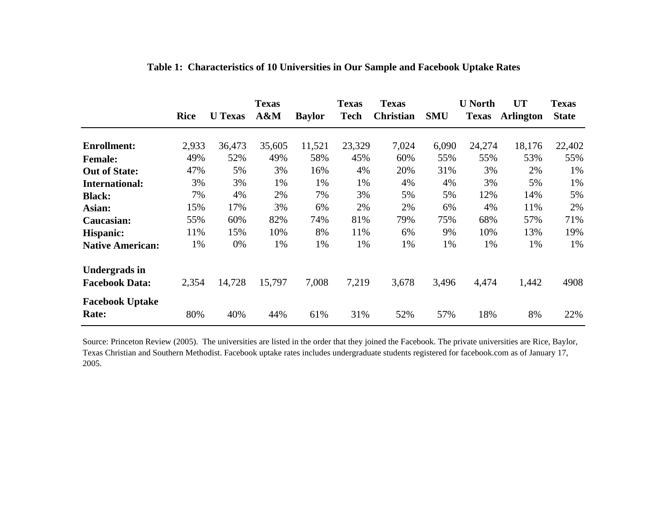|                                 | <b>Rice</b> | <b>U</b> Texas | <b>Texas</b><br>A&M | <b>Baylor</b> | <b>Texas</b><br><b>Tech</b> | <b>Texas</b><br><b>Christian</b> | <b>SMU</b> | <b>U</b> North<br><b>Texas</b> | <b>UT</b><br><b>Arlington</b> | <b>Texas</b><br><b>State</b> |
|---------------------------------|-------------|----------------|---------------------|---------------|-----------------------------|----------------------------------|------------|--------------------------------|-------------------------------|------------------------------|
| <b>Enrollment:</b>              | 2,933       | 36,473         | 35,605              | 11,521        | 23,329                      | 7,024                            | 6,090      | 24,274                         | 18,176                        | 22,402                       |
| <b>Female:</b>                  | 49%         | 52%            | 49%                 | 58%           | 45%                         | 60%                              | 55%        | 55%                            | 53%                           | 55%                          |
| <b>Out of State:</b>            | 47%         | 5%             | 3%                  | 16%           | 4%                          | 20%                              | 31%        | 3%                             | 2%                            | 1%                           |
| <b>International:</b>           | 3%          | 3%             | 1%                  | 1%            | 1%                          | 4%                               | 4%         | 3%                             | 5%                            | 1%                           |
| <b>Black:</b>                   | 7%          | 4%             | 2%                  | 7%            | 3%                          | 5%                               | 5%         | 12%                            | 14%                           | 5%                           |
| Asian:                          | 15%         | 17%            | 3%                  | 6%            | 2%                          | 2%                               | 6%         | 4%                             | 11%                           | 2%                           |
| Caucasian:                      | 55%         | 60%            | 82%                 | 74%           | 81%                         | 79%                              | 75%        | 68%                            | 57%                           | 71%                          |
| Hispanic:                       | 11%         | 15%            | 10%                 | 8%            | 11%                         | 6%                               | 9%         | 10%                            | 13%                           | 19%                          |
| <b>Native American:</b>         | 1%          | 0%             | 1%                  | 1%            | 1%                          | 1%                               | 1%         | 1%                             | 1%                            | 1%                           |
| <b>Undergrads in</b>            |             |                |                     |               |                             |                                  |            |                                |                               |                              |
| <b>Facebook Data:</b>           | 2,354       | 14,728         | 15,797              | 7,008         | 7,219                       | 3,678                            | 3,496      | 4,474                          | 1,442                         | 4908                         |
| <b>Facebook Uptake</b><br>Rate: | 80%         | 40%            | 44%                 | 61%           | 31%                         | 52%                              | 57%        | 18%                            | 8%                            | 22%                          |

**Table 1: Characteristics of 10 Universities in Our Sample and Facebook Uptake Rates**

Source: Princeton Review (2005). The universities are listed in the order that they joined the Facebook. The private universities are Rice, Baylor, Texas Christian and Southern Methodist. Facebook uptake rates includes undergraduate students registered for facebook.com as of January 17, 2005.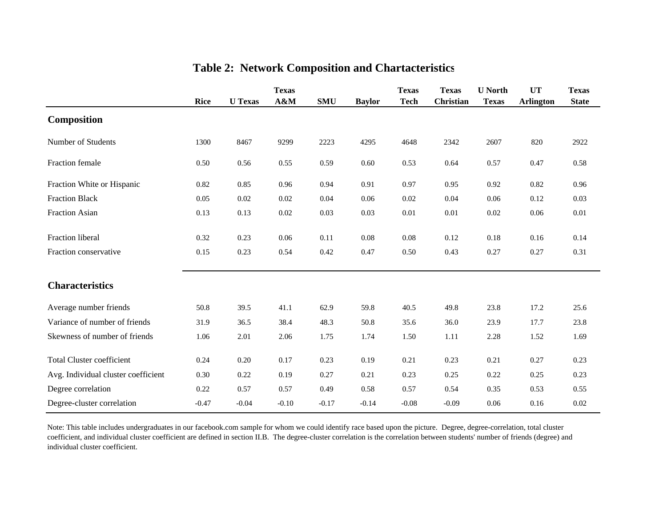|                                     |             |                | <b>Texas</b> |            |               | <b>Texas</b> | <b>Texas</b>     | <b>U</b> North | <b>UT</b>        | <b>Texas</b> |
|-------------------------------------|-------------|----------------|--------------|------------|---------------|--------------|------------------|----------------|------------------|--------------|
|                                     | <b>Rice</b> | <b>U</b> Texas | A&M          | <b>SMU</b> | <b>Baylor</b> | <b>Tech</b>  | <b>Christian</b> | <b>Texas</b>   | <b>Arlington</b> | <b>State</b> |
| <b>Composition</b>                  |             |                |              |            |               |              |                  |                |                  |              |
| Number of Students                  | 1300        | 8467           | 9299         | 2223       | 4295          | 4648         | 2342             | 2607           | 820              | 2922         |
| Fraction female                     | 0.50        | 0.56           | 0.55         | 0.59       | 0.60          | 0.53         | 0.64             | 0.57           | 0.47             | 0.58         |
| Fraction White or Hispanic          | 0.82        | 0.85           | 0.96         | 0.94       | 0.91          | 0.97         | 0.95             | 0.92           | 0.82             | 0.96         |
| <b>Fraction Black</b>               | 0.05        | 0.02           | 0.02         | 0.04       | 0.06          | 0.02         | 0.04             | 0.06           | 0.12             | 0.03         |
| <b>Fraction Asian</b>               | 0.13        | 0.13           | 0.02         | 0.03       | 0.03          | $0.01\,$     | 0.01             | 0.02           | 0.06             | $0.01\,$     |
| Fraction liberal                    | 0.32        | 0.23           | 0.06         | 0.11       | 0.08          | 0.08         | 0.12             | 0.18           | 0.16             | 0.14         |
| Fraction conservative               | 0.15        | 0.23           | 0.54         | 0.42       | 0.47          | 0.50         | 0.43             | 0.27           | 0.27             | 0.31         |
| <b>Characteristics</b>              |             |                |              |            |               |              |                  |                |                  |              |
| Average number friends              | 50.8        | 39.5           | 41.1         | 62.9       | 59.8          | 40.5         | 49.8             | 23.8           | 17.2             | 25.6         |
| Variance of number of friends       | 31.9        | 36.5           | 38.4         | 48.3       | 50.8          | 35.6         | 36.0             | 23.9           | 17.7             | 23.8         |
| Skewness of number of friends       | 1.06        | 2.01           | 2.06         | 1.75       | 1.74          | 1.50         | 1.11             | 2.28           | 1.52             | 1.69         |
| <b>Total Cluster coefficient</b>    | 0.24        | $0.20\,$       | 0.17         | 0.23       | 0.19          | 0.21         | 0.23             | 0.21           | 0.27             | 0.23         |
| Avg. Individual cluster coefficient | 0.30        | 0.22           | 0.19         | 0.27       | 0.21          | 0.23         | 0.25             | 0.22           | 0.25             | 0.23         |
| Degree correlation                  | 0.22        | 0.57           | 0.57         | 0.49       | 0.58          | 0.57         | 0.54             | 0.35           | 0.53             | 0.55         |
| Degree-cluster correlation          | $-0.47$     | $-0.04$        | $-0.10$      | $-0.17$    | $-0.14$       | $-0.08$      | $-0.09$          | 0.06           | 0.16             | 0.02         |

# **Table 2: Network Composition and Chartacteristics**

Note: This table includes undergraduates in our facebook.com sample for whom we could identify race based upon the picture. Degree, degree-correlation, total cluster coefficient, and individual cluster coefficient are defined in section II.B. The degree-cluster correlation is the correlation between students' number of friends (degree) and individual cluster coefficient.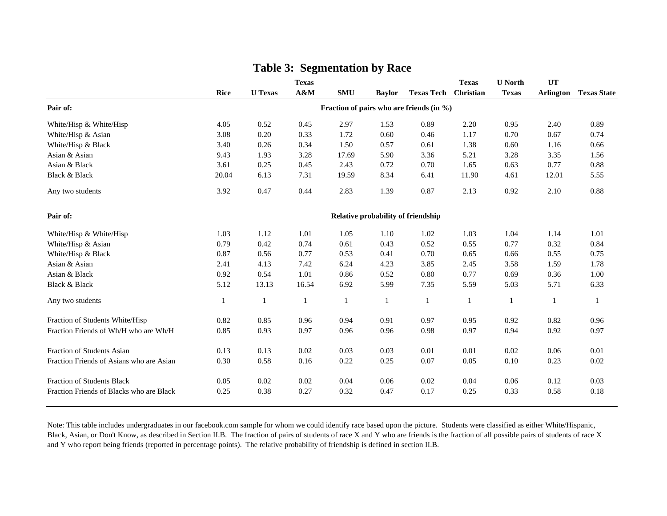|                                          | <b>Rice</b> | <b>U</b> Texas | <b>Texas</b><br>$A\&M$ | <b>SMU</b>   | <b>Baylor</b> | <b>Texas Tech</b>                         | <b>Texas</b><br>Christian | <b>U</b> North<br><b>Texas</b> | UT<br>Arlington | <b>Texas State</b> |
|------------------------------------------|-------------|----------------|------------------------|--------------|---------------|-------------------------------------------|---------------------------|--------------------------------|-----------------|--------------------|
| Pair of:                                 |             |                |                        |              |               | Fraction of pairs who are friends (in %)  |                           |                                |                 |                    |
| White/Hisp & White/Hisp                  | 4.05        | 0.52           | 0.45                   | 2.97         | 1.53          | 0.89                                      | 2.20                      | 0.95                           | 2.40            | 0.89               |
| White/Hisp & Asian                       | 3.08        | 0.20           | 0.33                   | 1.72         | 0.60          | 0.46                                      | 1.17                      | 0.70                           | 0.67            | 0.74               |
| White/Hisp & Black                       | 3.40        | 0.26           | 0.34                   | 1.50         | 0.57          | 0.61                                      | 1.38                      | 0.60                           | 1.16            | 0.66               |
| Asian & Asian                            | 9.43        | 1.93           | 3.28                   | 17.69        | 5.90          | 3.36                                      | 5.21                      | 3.28                           | 3.35            | 1.56               |
| Asian & Black                            | 3.61        | 0.25           | 0.45                   | 2.43         | 0.72          | 0.70                                      | 1.65                      | 0.63                           | 0.77            | 0.88               |
| Black & Black                            | 20.04       | 6.13           | 7.31                   | 19.59        | 8.34          | 6.41                                      | 11.90                     | 4.61                           | 12.01           | 5.55               |
| Any two students                         | 3.92        | 0.47           | 0.44                   | 2.83         | 1.39          | 0.87                                      | 2.13                      | 0.92                           | 2.10            | 0.88               |
| Pair of:                                 |             |                |                        |              |               | <b>Relative probability of friendship</b> |                           |                                |                 |                    |
| White/Hisp & White/Hisp                  | 1.03        | 1.12           | 1.01                   | 1.05         | 1.10          | 1.02                                      | 1.03                      | 1.04                           | 1.14            | 1.01               |
| White/Hisp & Asian                       | 0.79        | 0.42           | 0.74                   | 0.61         | 0.43          | 0.52                                      | 0.55                      | 0.77                           | 0.32            | 0.84               |
| White/Hisp & Black                       | 0.87        | 0.56           | 0.77                   | 0.53         | 0.41          | 0.70                                      | 0.65                      | 0.66                           | 0.55            | 0.75               |
| Asian & Asian                            | 2.41        | 4.13           | 7.42                   | 6.24         | 4.23          | 3.85                                      | 2.45                      | 3.58                           | 1.59            | 1.78               |
| Asian & Black                            | 0.92        | 0.54           | 1.01                   | 0.86         | 0.52          | 0.80                                      | 0.77                      | 0.69                           | 0.36            | 1.00               |
| <b>Black &amp; Black</b>                 | 5.12        | 13.13          | 16.54                  | 6.92         | 5.99          | 7.35                                      | 5.59                      | 5.03                           | 5.71            | 6.33               |
| Any two students                         | -1          | 1              | 1                      | $\mathbf{1}$ | $\mathbf{1}$  | $\mathbf{1}$                              | 1                         | $\mathbf{1}$                   | 1               | -1                 |
| Fraction of Students White/Hisp          | 0.82        | 0.85           | 0.96                   | 0.94         | 0.91          | 0.97                                      | 0.95                      | 0.92                           | 0.82            | 0.96               |
| Fraction Friends of Wh/H who are Wh/H    | 0.85        | 0.93           | 0.97                   | 0.96         | 0.96          | 0.98                                      | 0.97                      | 0.94                           | 0.92            | 0.97               |
| <b>Fraction of Students Asian</b>        | 0.13        | 0.13           | 0.02                   | 0.03         | 0.03          | 0.01                                      | 0.01                      | 0.02                           | 0.06            | 0.01               |
| Fraction Friends of Asians who are Asian | 0.30        | 0.58           | 0.16                   | 0.22         | 0.25          | 0.07                                      | 0.05                      | 0.10                           | 0.23            | 0.02               |
| Fraction of Students Black               | 0.05        | 0.02           | 0.02                   | 0.04         | 0.06          | 0.02                                      | 0.04                      | 0.06                           | 0.12            | 0.03               |
| Fraction Friends of Blacks who are Black | 0.25        | 0.38           | 0.27                   | 0.32         | 0.47          | 0.17                                      | 0.25                      | 0.33                           | 0.58            | 0.18               |

# **Table 3: Segmentation by Race**

Note: This table includes undergraduates in our facebook.com sample for whom we could identify race based upon the picture. Students were classified as either White/Hispanic, Black, Asian, or Don't Know, as described in Section II.B. The fraction of pairs of students of race X and Y who are friends is the fraction of all possible pairs of students of race X and Y who report being friends (reported in percentage points). The relative probability of friendship is defined in section II.B.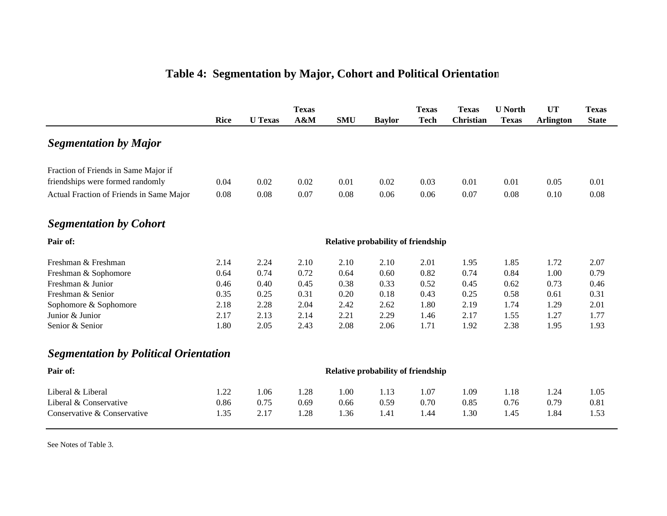|                                              |             |                | <b>Texas</b> |            |                                           | <b>Texas</b> | <b>Texas</b>     | <b>U</b> North | <b>UT</b>        | <b>Texas</b> |
|----------------------------------------------|-------------|----------------|--------------|------------|-------------------------------------------|--------------|------------------|----------------|------------------|--------------|
|                                              | <b>Rice</b> | <b>U</b> Texas | $A\&M$       | <b>SMU</b> | <b>Baylor</b>                             | <b>Tech</b>  | <b>Christian</b> | <b>Texas</b>   | <b>Arlington</b> | <b>State</b> |
| <b>Segmentation by Major</b>                 |             |                |              |            |                                           |              |                  |                |                  |              |
| Fraction of Friends in Same Major if         |             |                |              |            |                                           |              |                  |                |                  |              |
| friendships were formed randomly             | 0.04        | 0.02           | 0.02         | 0.01       | 0.02                                      | 0.03         | 0.01             | 0.01           | 0.05             | 0.01         |
| Actual Fraction of Friends in Same Major     | 0.08        | 0.08           | 0.07         | 0.08       | 0.06                                      | 0.06         | 0.07             | 0.08           | 0.10             | 0.08         |
| <b>Segmentation by Cohort</b>                |             |                |              |            |                                           |              |                  |                |                  |              |
| Pair of:                                     |             |                |              |            | <b>Relative probability of friendship</b> |              |                  |                |                  |              |
| Freshman & Freshman                          | 2.14        | 2.24           | 2.10         | 2.10       | 2.10                                      | 2.01         | 1.95             | 1.85           | 1.72             | 2.07         |
| Freshman & Sophomore                         | 0.64        | 0.74           | 0.72         | 0.64       | 0.60                                      | 0.82         | 0.74             | 0.84           | 1.00             | 0.79         |
| Freshman & Junior                            | 0.46        | 0.40           | 0.45         | 0.38       | 0.33                                      | 0.52         | 0.45             | 0.62           | 0.73             | 0.46         |
| Freshman & Senior                            | 0.35        | 0.25           | 0.31         | 0.20       | 0.18                                      | 0.43         | 0.25             | 0.58           | 0.61             | 0.31         |
| Sophomore & Sophomore                        | 2.18        | 2.28           | 2.04         | 2.42       | 2.62                                      | 1.80         | 2.19             | 1.74           | 1.29             | 2.01         |
| Junior & Junior                              | 2.17        | 2.13           | 2.14         | 2.21       | 2.29                                      | 1.46         | 2.17             | 1.55           | 1.27             | 1.77         |
| Senior & Senior                              | 1.80        | 2.05           | 2.43         | 2.08       | 2.06                                      | 1.71         | 1.92             | 2.38           | 1.95             | 1.93         |
| <b>Segmentation by Political Orientation</b> |             |                |              |            |                                           |              |                  |                |                  |              |
| Pair of:                                     |             |                |              |            | <b>Relative probability of friendship</b> |              |                  |                |                  |              |
| Liberal & Liberal                            | 1.22        | 1.06           | 1.28         | 1.00       | 1.13                                      | 1.07         | 1.09             | 1.18           | 1.24             | 1.05         |
| Liberal & Conservative                       | 0.86        | 0.75           | 0.69         | 0.66       | 0.59                                      | 0.70         | 0.85             | 0.76           | 0.79             | 0.81         |
| Conservative & Conservative                  | 1.35        | 2.17           | 1.28         | 1.36       | 1.41                                      | 1.44         | 1.30             | 1.45           | 1.84             | 1.53         |
|                                              |             |                |              |            |                                           |              |                  |                |                  |              |

# **Table 4: Segmentation by Major, Cohort and Political Orientation**

See Notes of Table 3.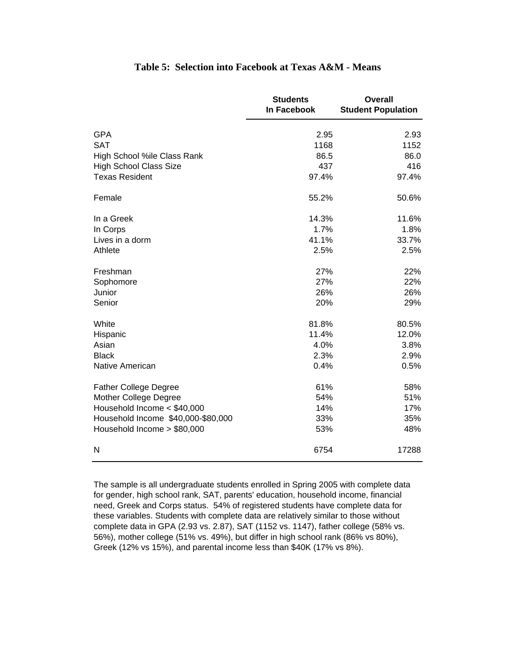|                                    | <b>Students</b><br>In Facebook | <b>Overall</b><br><b>Student Population</b> |
|------------------------------------|--------------------------------|---------------------------------------------|
| <b>GPA</b>                         | 2.95                           | 2.93                                        |
| <b>SAT</b>                         | 1168                           | 1152                                        |
| High School %ile Class Rank        | 86.5                           | 86.0                                        |
| <b>High School Class Size</b>      | 437                            | 416                                         |
| <b>Texas Resident</b>              | 97.4%                          | 97.4%                                       |
| Female                             | 55.2%                          | 50.6%                                       |
| In a Greek                         | 14.3%                          | 11.6%                                       |
| In Corps                           | 1.7%                           | 1.8%                                        |
| Lives in a dorm                    | 41.1%                          | 33.7%                                       |
| Athlete                            | 2.5%                           | 2.5%                                        |
| Freshman                           | 27%                            | 22%                                         |
| Sophomore                          | 27%                            | 22%                                         |
| Junior                             | 26%                            | 26%                                         |
| Senior                             | 20%                            | 29%                                         |
| White                              | 81.8%                          | 80.5%                                       |
| Hispanic                           | 11.4%                          | 12.0%                                       |
| Asian                              | 4.0%                           | 3.8%                                        |
| <b>Black</b>                       | 2.3%                           | 2.9%                                        |
| Native American                    | 0.4%                           | 0.5%                                        |
| <b>Father College Degree</b>       | 61%                            | 58%                                         |
| Mother College Degree              | 54%                            | 51%                                         |
| Household Income < \$40,000        | 14%                            | 17%                                         |
| Household Income \$40,000-\$80,000 | 33%                            | 35%                                         |
| Household Income > \$80,000        | 53%                            | 48%                                         |
| N                                  | 6754                           | 17288                                       |

## **Table 5: Selection into Facebook at Texas A&M - Means**

The sample is all undergraduate students enrolled in Spring 2005 with complete data for gender, high school rank, SAT, parents' education, household income, financial need, Greek and Corps status. 54% of registered students have complete data for these variables. Students with complete data are relatively similar to those without complete data in GPA (2.93 vs. 2.87), SAT (1152 vs. 1147), father college (58% vs. 56%), mother college (51% vs. 49%), but differ in high school rank (86% vs 80%), Greek (12% vs 15%), and parental income less than \$40K (17% vs 8%).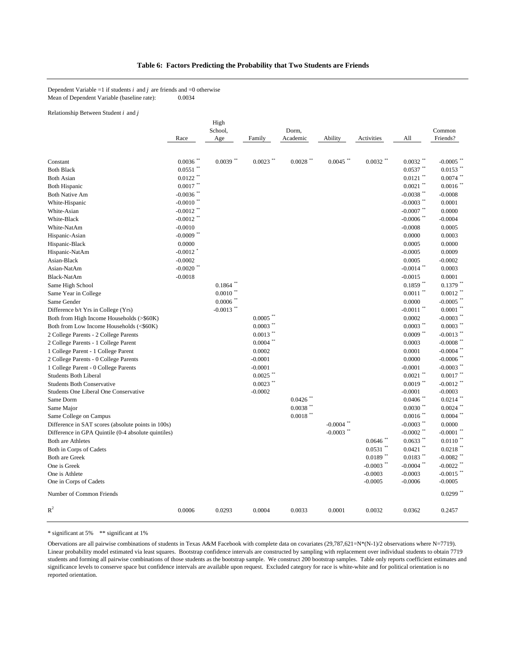#### **Table 6: Factors Predicting the Probability that Two Students are Friends**

Dependent Variable =1 if students  $i$  and  $j$  are friends and =0 otherwise Mean of Dependent Variable (baseline rate): 0.0034

Relationship Between Student *i* and *j*

|                                                     |                         | High                   |                        |             |                         |                        |                        |                                       |
|-----------------------------------------------------|-------------------------|------------------------|------------------------|-------------|-------------------------|------------------------|------------------------|---------------------------------------|
|                                                     |                         | School,                |                        | Dorm.       |                         |                        |                        | Common                                |
|                                                     | Race                    | Age                    | Family                 | Academic    | Ability                 | Activities             | All                    | Friends?                              |
|                                                     |                         |                        |                        |             |                         |                        |                        |                                       |
| Constant                                            | $0.0036$ **             | $0.0039$ **            | $0.0023$ **            | $0.0028$ ** | $0.0045$ **             | $0.0032$ **            | $0.0032$ **            | $-0.0005$ *                           |
| <b>Both Black</b>                                   | $0.0551$ **             |                        |                        |             |                         |                        | $0.0537$ **            | $0.0153$ **                           |
| <b>Both Asian</b>                                   | $0.0122$ **             |                        |                        |             |                         |                        | $0.0121$ **            | $0.0074$ **                           |
| <b>Both Hispanic</b>                                | $0.0017$ **             |                        |                        |             |                         |                        | $0.0021$ **            | $0.0016$ <sup>**</sup>                |
| <b>Both Native Am</b>                               | $-0.0036$ **            |                        |                        |             |                         |                        | $-0.0038$ **           | $-0.0008$                             |
| White-Hispanic                                      | $-0.0010$ <sup>**</sup> |                        |                        |             |                         |                        | $-0.0003$ **           | 0.0001                                |
| White-Asian                                         | $-0.0012$ **            |                        |                        |             |                         |                        | $-0.0007$ **           | 0.0000                                |
| White-Black                                         | $-0.0012$ **            |                        |                        |             |                         |                        | $-0.0006$ **           | $-0.0004$                             |
| White-NatAm                                         | $-0.0010$               |                        |                        |             |                         |                        | $-0.0008$              | 0.0005                                |
| Hispanic-Asian                                      | $-0.0009$ **            |                        |                        |             |                         |                        | 0.0000                 | 0.0003                                |
| Hispanic-Black                                      | 0.0000                  |                        |                        |             |                         |                        | 0.0005                 | 0.0000                                |
| Hispanic-NatAm                                      | $-0.0012$ <sup>*</sup>  |                        |                        |             |                         |                        | $-0.0005$              | 0.0009                                |
| Asian-Black                                         | $-0.0002$               |                        |                        |             |                         |                        | 0.0005                 | $-0.0002$                             |
| Asian-NatAm                                         | $-0.0020$ **            |                        |                        |             |                         |                        | $-0.0014$ **           | 0.0003                                |
| Black-NatAm                                         | $-0.0018$               |                        |                        |             |                         |                        | $-0.0015$              | 0.0001                                |
| Same High School                                    |                         | 0.1864                 |                        |             |                         |                        | $0.1859$ <sup>**</sup> | $0.1379$ **                           |
| Same Year in College                                |                         | $0.0010$ <sup>**</sup> |                        |             |                         |                        | $0.0011$ **            | $0.0012$ **                           |
| Same Gender                                         |                         | $0.0006$ **            |                        |             |                         |                        | 0.0000                 | $-0.0005$ **                          |
| Difference b/t Yrs in College (Yrs)                 |                         | $-0.0013$ **           |                        |             |                         |                        | $-0.0011$ **           | $0.0001$ **                           |
| Both from High Income Households (>\$60K)           |                         |                        | $0.0005$ <sup>**</sup> |             |                         |                        | 0.0002                 | $-0.0003$ $\overset{**}{\phantom{1}}$ |
| Both from Low Income Households (<\$60K)            |                         |                        | $0.0003$ **            |             |                         |                        | $0.0003$ **            | $0.0003$ **                           |
| 2 College Parents - 2 College Parents               |                         |                        | $0.0013$ **            |             |                         |                        | $0.0009$ **            | $-0.0013$ **                          |
| 2 College Parents - 1 College Parent                |                         |                        | $0.0004$ **            |             |                         |                        | 0.0003                 | $-0.0008$ **                          |
| 1 College Parent - 1 College Parent                 |                         |                        | 0.0002                 |             |                         |                        | 0.0001                 | $-0.0004$ **                          |
| 2 College Parents - 0 College Parents               |                         |                        | $-0.0001$              |             |                         |                        | 0.0000                 | $-0.0006$ <sup>**</sup>               |
| 1 College Parent - 0 College Parents                |                         |                        | $-0.0001$              |             |                         |                        | $-0.0001$              | $-0.0003$ **                          |
| <b>Students Both Liberal</b>                        |                         |                        | $0.0025$ **            |             |                         |                        | $0.0021$ **            | $0.0017$ **                           |
| <b>Students Both Conservative</b>                   |                         |                        | $0.0023$ **            |             |                         |                        | $0.0019$ **            | $-0.0012$ **                          |
| Students One Liberal One Conservative               |                         |                        | $-0.0002$              |             |                         |                        | $-0.0001$              | $-0.0003$                             |
| Same Dorm                                           |                         |                        |                        | 0.0426      |                         |                        | $0.0406$ <sup>**</sup> | $0.0214$ **                           |
| Same Major                                          |                         |                        |                        | $0.0038$ ** |                         |                        | $0.0030$ **            | $0.0024$ **                           |
| Same College on Campus                              |                         |                        |                        | $0.0018$ ** |                         |                        | $0.0016$ **            | $0.0004$ **                           |
| Difference in SAT scores (absolute points in 100s)  |                         |                        |                        |             | $-0.0004$               |                        | $-0.0003$ **           | 0.0000                                |
| Difference in GPA Quintile (0-4 absolute quintiles) |                         |                        |                        |             | $-0.0003$ <sup>**</sup> |                        | $-0.0002$ **           | $-0.0001$ $\degree$                   |
| <b>Both are Athletes</b>                            |                         |                        |                        |             |                         | $0.0646$ <sup>**</sup> | $0.0633$ **            | $0.0110$ **                           |
| Both in Corps of Cadets                             |                         |                        |                        |             |                         | $0.0531$ **            | $0.0421$ **            | $0.0218$ **                           |
| <b>Both are Greek</b>                               |                         |                        |                        |             |                         | $0.0189$ **            | $0.0183$ **            | $-0.0082$ **                          |
| One is Greek                                        |                         |                        |                        |             |                         | $-0.0003$ **           | $-0.0004$ **           | $-0.0022$ **                          |
| One is Athlete                                      |                         |                        |                        |             |                         | $-0.0003$              | $-0.0003$              | $-0.0015$ <sup>**</sup>               |
| One in Corps of Cadets                              |                         |                        |                        |             |                         | $-0.0005$              | $-0.0006$              | $-0.0005$                             |
| Number of Common Friends                            |                         |                        |                        |             |                         |                        |                        | $0.0299$ **                           |
| $R^2$                                               | 0.0006                  | 0.0293                 | 0.0004                 | 0.0033      | 0.0001                  | 0.0032                 | 0.0362                 | 0.2457                                |

\* significant at 5% \*\* significant at 1%

Obervations are all pairwise combinations of students in Texas A&M Facebook with complete data on covariates (29,787,621=N\*(N-1)/2 observations where N=7719). Linear probability model estimated via least squares. Bootstrap confidence intervals are constructed by sampling with replacement over individual students to obtain 7719 students and forming all pairwise combinations of those students as the bootstrap sample. We construct 200 bootstrap samples. Table only reports coefficient estimates and significance levels to conserve space but confidence intervals are available upon request. Excluded category for race is white-white and for political orientation is no reported orientation.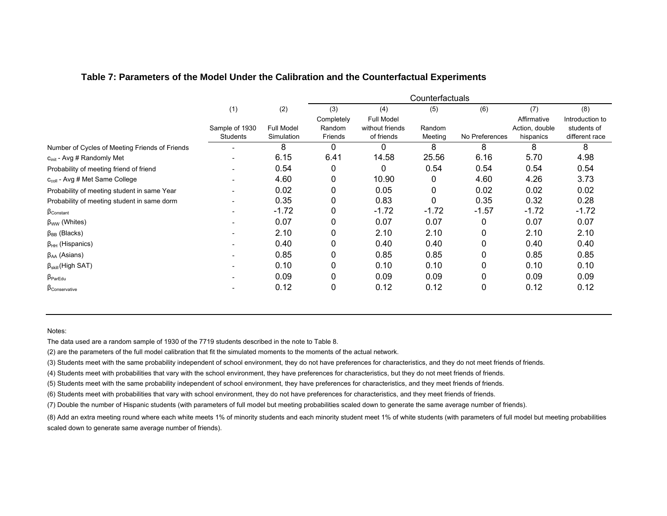|                                                |                            |                          |                   |                               | Counterfactuals   |                |                             |                               |
|------------------------------------------------|----------------------------|--------------------------|-------------------|-------------------------------|-------------------|----------------|-----------------------------|-------------------------------|
|                                                | (1)                        | (2)                      | (3)               | (4)                           | (5)               | (6)            | (7)                         | (8)                           |
|                                                |                            |                          | Completely        | Full Model                    |                   |                | Affirmative                 | Introduction to               |
|                                                | Sample of 1930<br>Students | Full Model<br>Simulation | Random<br>Friends | without friends<br>of friends | Random<br>Meeting | No Preferences | Action, double<br>hispanics | students of<br>different race |
| Number of Cycles of Meeting Friends of Friends |                            | 8                        | 0                 | 0                             | 8                 | 8              | 8                           | 8                             |
| c <sub>init</sub> - Avg # Randomly Met         |                            | 6.15                     | 6.41              | 14.58                         | 25.56             | 6.16           | 5.70                        | 4.98                          |
| Probability of meeting friend of friend        |                            | 0.54                     | 0                 | 0                             | 0.54              | 0.54           | 0.54                        | 0.54                          |
| C <sub>coll</sub> - Avg # Met Same College     |                            | 4.60                     | 0                 | 10.90                         |                   | 4.60           | 4.26                        | 3.73                          |
| Probability of meeting student in same Year    |                            | 0.02                     | 0                 | 0.05                          | 0                 | 0.02           | 0.02                        | 0.02                          |
| Probability of meeting student in same dorm    |                            | 0.35                     | 0                 | 0.83                          | 0                 | 0.35           | 0.32                        | 0.28                          |
| $\beta_{Constant}$                             |                            | $-1.72$                  | 0                 | $-1.72$                       | $-1.72$           | $-1.57$        | $-1.72$                     | $-1.72$                       |
| $\beta_{WW}$ (Whites)                          |                            | 0.07                     | 0                 | 0.07                          | 0.07              | 0              | 0.07                        | 0.07                          |
| $\beta_{BB}$ (Blacks)                          |                            | 2.10                     | 0                 | 2.10                          | 2.10              | 0              | 2.10                        | 2.10                          |
| $\beta_{HH}$ (Hispanics)                       |                            | 0.40                     | 0                 | 0.40                          | 0.40              | 0              | 0.40                        | 0.40                          |
| $\beta_{AA}$ (Asians)                          |                            | 0.85                     | 0                 | 0.85                          | 0.85              | 0              | 0.85                        | 0.85                          |
| $\beta_{skill}$ (High SAT)                     |                            | 0.10                     | 0                 | 0.10                          | 0.10              | 0              | 0.10                        | 0.10                          |
| $\beta_{ParEdu}$                               |                            | 0.09                     | 0                 | 0.09                          | 0.09              | 0              | 0.09                        | 0.09                          |
| $\beta$ Conservative                           |                            | 0.12                     | 0                 | 0.12                          | 0.12              | 0              | 0.12                        | 0.12                          |

## **Table 7: Parameters of the Model Under the Calibration and the Counterfactual Experiments**

#### Notes:

The data used are a random sample of 1930 of the 7719 students described in the note to Table 8.

(2) are the parameters of the full model calibration that fit the simulated moments to the moments of the actual network.

(3) Students meet with the same probability independent of school environment, they do not have preferences for characteristics, and they do not meet friends of friends.

(4) Students meet with probabilities that vary with the school environment, they have preferences for characteristics, but they do not meet friends of friends.

(5) Students meet with the same probability independent of school environment, they have preferences for characteristics, and they meet friends of friends.

(6) Students meet with probabilities that vary with school environment, they do not have preferences for characteristics, and they meet friends of friends.

(7) Double the number of Hispanic students (with parameters of full model but meeting probabilities scaled down to generate the same average number of friends).

scaled down to generate same average number of friends). (8) Add an extra meeting round where each white meets 1% of minority students and each minority student meet 1% of white students (with parameters of full model but meeting probabilities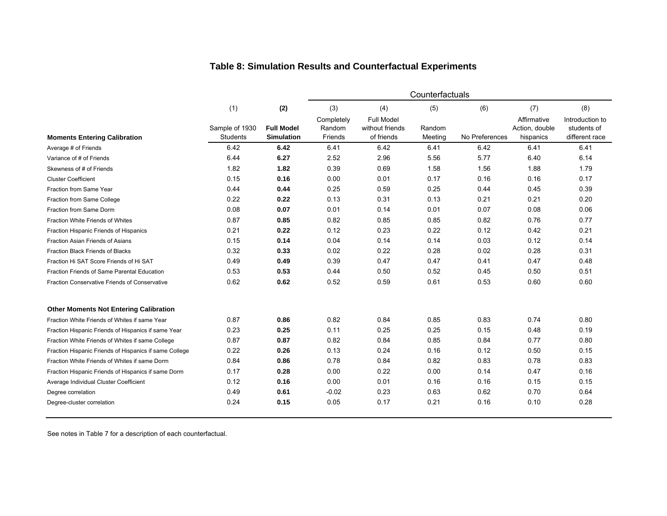|                                                        | Counterfactuals                   |                                        |                                 |                                                    |                   |                |                                            |                                                  |  |
|--------------------------------------------------------|-----------------------------------|----------------------------------------|---------------------------------|----------------------------------------------------|-------------------|----------------|--------------------------------------------|--------------------------------------------------|--|
|                                                        | (1)                               | (2)                                    | (3)                             | (4)                                                | (5)               | (6)            | (7)                                        | (8)                                              |  |
| <b>Moments Entering Calibration</b>                    | Sample of 1930<br><b>Students</b> | <b>Full Model</b><br><b>Simulation</b> | Completely<br>Random<br>Friends | <b>Full Model</b><br>without friends<br>of friends | Random<br>Meeting | No Preferences | Affirmative<br>Action, double<br>hispanics | Introduction to<br>students of<br>different race |  |
| Average # of Friends                                   | 6.42                              | 6.42                                   | 6.41                            | 6.42                                               | 6.41              | 6.42           | 6.41                                       | 6.41                                             |  |
| Variance of # of Friends                               | 6.44                              | 6.27                                   | 2.52                            | 2.96                                               | 5.56              | 5.77           | 6.40                                       | 6.14                                             |  |
| Skewness of # of Friends                               | 1.82                              | 1.82                                   | 0.39                            | 0.69                                               | 1.58              | 1.56           | 1.88                                       | 1.79                                             |  |
| <b>Cluster Coefficient</b>                             | 0.15                              | 0.16                                   | 0.00                            | 0.01                                               | 0.17              | 0.16           | 0.16                                       | 0.17                                             |  |
| Fraction from Same Year                                | 0.44                              | 0.44                                   | 0.25                            | 0.59                                               | 0.25              | 0.44           | 0.45                                       | 0.39                                             |  |
| Fraction from Same College                             | 0.22                              | 0.22                                   | 0.13                            | 0.31                                               | 0.13              | 0.21           | 0.21                                       | 0.20                                             |  |
| Fraction from Same Dorm                                | 0.08                              | 0.07                                   | 0.01                            | 0.14                                               | 0.01              | 0.07           | 0.08                                       | 0.06                                             |  |
| <b>Fraction White Friends of Whites</b>                | 0.87                              | 0.85                                   | 0.82                            | 0.85                                               | 0.85              | 0.82           | 0.76                                       | 0.77                                             |  |
| Fraction Hispanic Friends of Hispanics                 | 0.21                              | 0.22                                   | 0.12                            | 0.23                                               | 0.22              | 0.12           | 0.42                                       | 0.21                                             |  |
| Fraction Asian Friends of Asians                       | 0.15                              | 0.14                                   | 0.04                            | 0.14                                               | 0.14              | 0.03           | 0.12                                       | 0.14                                             |  |
| Fraction Black Friends of Blacks                       | 0.32                              | 0.33                                   | 0.02                            | 0.22                                               | 0.28              | 0.02           | 0.28                                       | 0.31                                             |  |
| Fraction Hi SAT Score Friends of Hi SAT                | 0.49                              | 0.49                                   | 0.39                            | 0.47                                               | 0.47              | 0.41           | 0.47                                       | 0.48                                             |  |
| Fraction Friends of Same Parental Education            | 0.53                              | 0.53                                   | 0.44                            | 0.50                                               | 0.52              | 0.45           | 0.50                                       | 0.51                                             |  |
| Fraction Conservative Friends of Conservative          | 0.62                              | 0.62                                   | 0.52                            | 0.59                                               | 0.61              | 0.53           | 0.60                                       | 0.60                                             |  |
| <b>Other Moments Not Entering Calibration</b>          |                                   |                                        |                                 |                                                    |                   |                |                                            |                                                  |  |
| Fraction White Friends of Whites if same Year          | 0.87                              | 0.86                                   | 0.82                            | 0.84                                               | 0.85              | 0.83           | 0.74                                       | 0.80                                             |  |
| Fraction Hispanic Friends of Hispanics if same Year    | 0.23                              | 0.25                                   | 0.11                            | 0.25                                               | 0.25              | 0.15           | 0.48                                       | 0.19                                             |  |
| Fraction White Friends of Whites if same College       | 0.87                              | 0.87                                   | 0.82                            | 0.84                                               | 0.85              | 0.84           | 0.77                                       | 0.80                                             |  |
| Fraction Hispanic Friends of Hispanics if same College | 0.22                              | 0.26                                   | 0.13                            | 0.24                                               | 0.16              | 0.12           | 0.50                                       | 0.15                                             |  |
| Fraction White Friends of Whites if same Dorm          | 0.84                              | 0.86                                   | 0.78                            | 0.84                                               | 0.82              | 0.83           | 0.78                                       | 0.83                                             |  |
| Fraction Hispanic Friends of Hispanics if same Dorm    | 0.17                              | 0.28                                   | 0.00                            | 0.22                                               | 0.00              | 0.14           | 0.47                                       | 0.16                                             |  |
| Average Individual Cluster Coefficient                 | 0.12                              | 0.16                                   | 0.00                            | 0.01                                               | 0.16              | 0.16           | 0.15                                       | 0.15                                             |  |
| Degree correlation                                     | 0.49                              | 0.61                                   | $-0.02$                         | 0.23                                               | 0.63              | 0.62           | 0.70                                       | 0.64                                             |  |
| Degree-cluster correlation                             | 0.24                              | 0.15                                   | 0.05                            | 0.17                                               | 0.21              | 0.16           | 0.10                                       | 0.28                                             |  |

## **Table 8: Simulation Results and Counterfactual Experiment s**

See notes in Table 7 for a description of each counterfactual.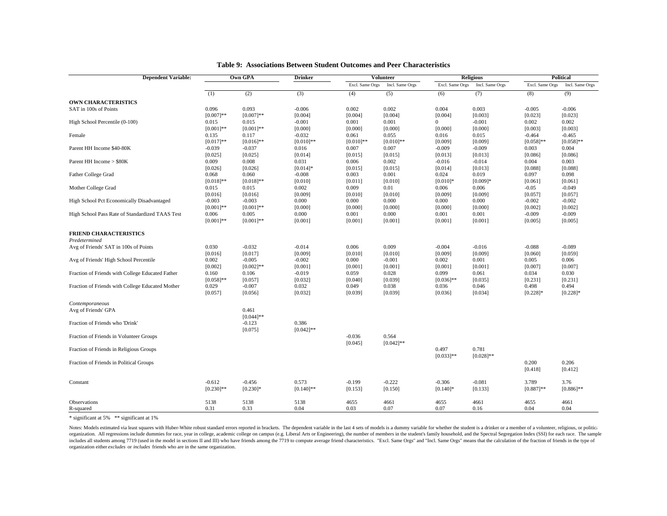| <b>Dependent Variable:</b>                       |                  | Own GPA             |                  | <b>Volunteer</b> |                  | <b>Religious</b> |                  | Political            |                      |
|--------------------------------------------------|------------------|---------------------|------------------|------------------|------------------|------------------|------------------|----------------------|----------------------|
|                                                  |                  |                     |                  | Excl. Same Orgs  | Incl. Same Orgs  | Excl. Same Orgs  | Incl. Same Orgs  | Excl. Same Orgs      | Incl. Same Orgs      |
|                                                  | (1)              | (2)                 | (3)              | (4)              | (5)              | (6)              | (7)              | (8)                  | (9)                  |
| <b>OWN CHARACTERISTICS</b>                       |                  |                     |                  |                  |                  |                  |                  |                      |                      |
| SAT in 100s of Points                            | 0.096            | 0.093               | $-0.006$         | 0.002            | 0.002            | 0.004            | 0.003            | $-0.005$             | $-0.006$             |
|                                                  | $[0.007]**$      | $[0.007]**$         | [0.004]          | [0.004]          | [0.004]          | [0.004]          | [0.003]          | [0.023]              | [0.023]              |
| High School Percentile (0-100)                   | 0.015            | 0.015               | $-0.001$         | 0.001            | 0.001            | $^{\circ}$       | $-0.001$         | 0.002                | 0.002                |
|                                                  | $[0.001]*$       | $[0.001]$ **        | [0.000]          | [0.000]          | [0.000]          | [0.000]          | [0.000]          | [0.003]              | [0.003]              |
| Female                                           | 0.135            | 0.117               | $-0.032$         | 0.061            | 0.055            | 0.016            | 0.015            | $-0.464$             | $-0.465$             |
|                                                  | $[0.017]**$      | $[0.016]$ **        | $[0.010]$ **     | $[0.010]$ **     | $[0.010]$ **     | [0.009]          | [0.009]          | $[0.058]$ **         | $[0.058]$ **         |
| Parent HH Income \$40-80K                        | $-0.039$         | $-0.037$            | 0.016            | 0.007            | 0.007            | $-0.009$         | $-0.009$         | 0.003                | 0.004                |
|                                                  | [0.025]          | [0.025]             | [0.014]          | [0.015]          | [0.015]          | [0.013]          | [0.013]          | [0.086]              | [0.086]              |
| Parent HH Income > \$80K                         | 0.009            | 0.008               | 0.031            | 0.006            | 0.002            | $-0.016$         | $-0.014$         | 0.004                | 0.003                |
|                                                  | [0.026]          | [0.026]             | $[0.014]$ *      | [0.015]          | [0.015]          | [0.014]          | [0.013]          | [0.088]              | [0.088]              |
| Father College Grad                              | 0.068            | 0.060               | $-0.008$         | 0.003            | 0.001            | 0.024            | 0.019            | 0.097                | 0.098                |
|                                                  | $[0.018]$ **     | $[0.018]**$         | [0.010]          | [0.011]          | [0.010]          | $[0.010]*$       | $[0.009]*$       | [0.061]              | [0.061]              |
| Mother College Grad                              | 0.015            | 0.015               | 0.002            | 0.009            | 0.01             | 0.006            | 0.006            | $-0.05$              | $-0.049$             |
|                                                  | [0.016]          | [0.016]             | [0.009]          | [0.010]          | [0.010]          | [0.009]          | [0.009]          | [0.057]              | [0.057]              |
| High School Pct Economically Disadvantaged       | $-0.003$         | $-0.003$            | 0.000            | 0.000            | 0.000            | 0.000            | 0.000            | $-0.002$             | $-0.002$             |
|                                                  | $[0.001]*$       | $[0.001]**$         | [0.000]          | [0.000]          | [0.000]          | [0.000]          | [0.000]          | [0.002]              | [0.002]              |
| High School Pass Rate of Standardized TAAS Test  | 0.006            | 0.005               | 0.000            | 0.001            | 0.000            | 0.001            | 0.001            | $-0.009$             | $-0.009$             |
|                                                  | $[0.001]*$       | $[0.001]$ **        | [0.001]          | [0.001]          | [0.001]          | [0.001]          | [0.001]          | [0.005]              | [0.005]              |
| <b>FRIEND CHARACTERISTICS</b>                    |                  |                     |                  |                  |                  |                  |                  |                      |                      |
| Predetermined                                    |                  |                     |                  |                  |                  |                  |                  |                      |                      |
| Avg of Friends' SAT in 100s of Points            | 0.030            | $-0.032$            | $-0.014$         | 0.006            | 0.009            | $-0.004$         | $-0.016$         | $-0.088$             | $-0.089$             |
|                                                  | [0.016]          | [0.017]             | [0.009]          | [0.010]          | [0.010]          | [0.009]          | [0.009]          | [0.060]              | [0.059]              |
| Avg of Friends' High School Percentile           | 0.002            | $-0.005$            | $-0.002$         | 0.000            | $-0.001$         | 0.002            | 0.001            | 0.005                | 0.006                |
|                                                  | [0.002]          |                     |                  |                  |                  | [0.001]          |                  |                      | [0.007]              |
|                                                  |                  | $[0.002]$ **        | [0.001]          | [0.001]          | [0.001]          |                  | [0.001]          | [0.007]              |                      |
| Fraction of Friends with College Educated Father | 0.160            | 0.106               | $-0.019$         | 0.059            | 0.028            | 0.099            | 0.061            | 0.034                | 0.030                |
|                                                  | $[0.058]$ **     | [0.057]             | [0.032]          | [0.040]          | [0.039]          | $[0.036]$ **     | [0.035]          | [0.231]              | [0.231]              |
| Fraction of Friends with College Educated Mother | 0.029<br>[0.057] | $-0.007$<br>[0.056] | 0.032<br>[0.032] | 0.049<br>[0.039] | 0.038<br>[0.039] | 0.036<br>[0.036] | 0.046<br>[0.034] | 0.498<br>$[0.228]$ * | 0.494<br>$[0.228]$ * |
| Contemporaneous                                  |                  |                     |                  |                  |                  |                  |                  |                      |                      |
| Avg of Friends' GPA                              |                  | 0.461               |                  |                  |                  |                  |                  |                      |                      |
|                                                  |                  | $[0.044]$ **        |                  |                  |                  |                  |                  |                      |                      |
| Fraction of Friends who 'Drink'                  |                  | $-0.123$            | 0.386            |                  |                  |                  |                  |                      |                      |
|                                                  |                  | [0.075]             | $[0.042]$ **     |                  |                  |                  |                  |                      |                      |
| Fraction of Friends in Volunteer Groups          |                  |                     |                  | $-0.036$         | 0.564            |                  |                  |                      |                      |
|                                                  |                  |                     |                  | [0.045]          | $[0.042]$ **     |                  |                  |                      |                      |
| Fraction of Friends in Religious Groups          |                  |                     |                  |                  |                  | 0.497            | 0.781            |                      |                      |
|                                                  |                  |                     |                  |                  |                  | $[0.033]$ **     | $[0.028]$ **     |                      |                      |
| Fraction of Friends in Political Groups          |                  |                     |                  |                  |                  |                  |                  | 0.200                | 0.206                |
|                                                  |                  |                     |                  |                  |                  |                  |                  | [0.418]              | [0.412]              |
| Constant                                         | $-0.612$         | $-0.456$            | 0.573            | $-0.199$         | $-0.222$         | $-0.306$         | $-0.081$         | 3.789                | 3.76                 |
|                                                  | $[0.230]$ **     | $[0.230]$ *         | $[0.140]$ **     | [0.153]          | [0.150]          | $[0.140]$ *      | [0.133]          | $[0.887]$ **         | $[0.886]$ **         |
|                                                  |                  |                     |                  |                  |                  |                  |                  |                      |                      |
| Observations                                     | 5138             | 5138                | 5138             | 4655             | 4661             | 4655             | 4661             | 4655                 | 4661                 |
| R-squared                                        | 0.31             | 0.33                | 0.04             | 0.03             | 0.07             | 0.07             | 0.16             | 0.04                 | 0.04                 |

#### **Table 9: Associations Between Student Outcomes and Peer Characteristics**

\* significant at 5% \*\* significant at 1%

Notes: Models estimated via least squares with Huber-White robust standard errors reported in brackets. The dependent variable in the last 4 sets of models is a dummy variable for whether the student is a drinker or a memb organization. All regressions include dummies for race, year in college, academic college on campus (e.g. Liberal Arts or Engineering), the number of members in the student's family household, and the Spectral Segregation includes all students among 7719 (used in the model in sections II and III) who have friends among the 7719 to compute average friend characteristics. "Excl. Same Orgs" and "Incl. Same Orgs" means that the calculation of t organization either *excludes* or *includes* friends who are in the same organization.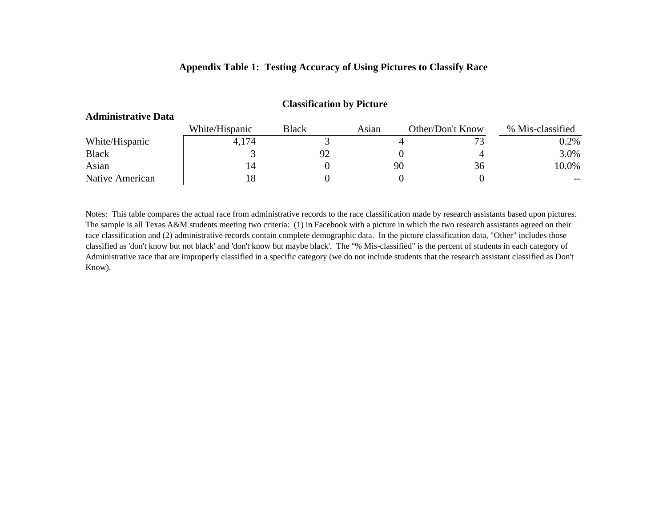## **Appendix Table 1: Testing Accuracy of Using Pictures to Classify Race**

| <b>Administrative Data</b> |                |       |       |                  |                  |
|----------------------------|----------------|-------|-------|------------------|------------------|
|                            | White/Hispanic | Black | Asian | Other/Don't Know | % Mis-classified |
| White/Hispanic             | 4,174          |       |       |                  | $0.2\%$          |
| <b>Black</b>               |                |       |       |                  | 3.0%             |
| Asian                      |                |       | 90    | 36               | 10.0%            |
| Native American            |                |       |       |                  | $- -$            |

#### **Classification by Picture**

Notes: This table compares the actual race from administrative records to the race classification made by research assistants based upon pictures. The sample is all Texas A&M students meeting two criteria: (1) in Facebook with a picture in which the two research assistants agreed on their race classification and (2) administrative records contain complete demographic data. In the picture classification data, "Other" includes those classified as 'don't know but not black' and 'don't know but maybe black'. The "% Mis-classified" is the percent of students in each category of Administrative race that are improperly classified in a specific category (we do not include students that the research assistant classified as Don't Know).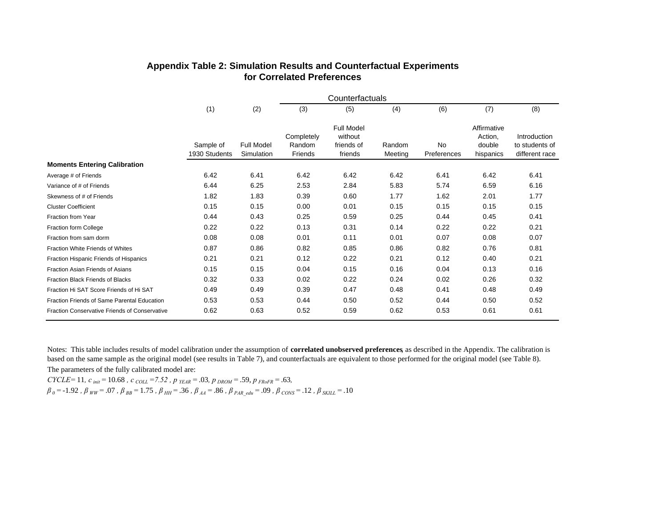|                                               | Counterfactuals            |                                 |                                 |                                                       |                   |                          |                                               |                                                  |  |  |  |
|-----------------------------------------------|----------------------------|---------------------------------|---------------------------------|-------------------------------------------------------|-------------------|--------------------------|-----------------------------------------------|--------------------------------------------------|--|--|--|
|                                               | (1)                        | (2)                             | (3)                             | (5)                                                   | (4)               | (6)                      | (7)                                           | (8)                                              |  |  |  |
|                                               | Sample of<br>1930 Students | <b>Full Model</b><br>Simulation | Completely<br>Random<br>Friends | <b>Full Model</b><br>without<br>friends of<br>friends | Random<br>Meeting | <b>No</b><br>Preferences | Affirmative<br>Action,<br>double<br>hispanics | Introduction<br>to students of<br>different race |  |  |  |
| <b>Moments Entering Calibration</b>           |                            |                                 |                                 |                                                       |                   |                          |                                               |                                                  |  |  |  |
| Average # of Friends                          | 6.42                       | 6.41                            | 6.42                            | 6.42                                                  | 6.42              | 6.41                     | 6.42                                          | 6.41                                             |  |  |  |
| Variance of # of Friends                      | 6.44                       | 6.25                            | 2.53                            | 2.84                                                  | 5.83              | 5.74                     | 6.59                                          | 6.16                                             |  |  |  |
| Skewness of # of Friends                      | 1.82                       | 1.83                            | 0.39                            | 0.60                                                  | 1.77              | 1.62                     | 2.01                                          | 1.77                                             |  |  |  |
| <b>Cluster Coefficient</b>                    | 0.15                       | 0.15                            | 0.00                            | 0.01                                                  | 0.15              | 0.15                     | 0.15                                          | 0.15                                             |  |  |  |
| Fraction from Year                            | 0.44                       | 0.43                            | 0.25                            | 0.59                                                  | 0.25              | 0.44                     | 0.45                                          | 0.41                                             |  |  |  |
| Fraction form College                         | 0.22                       | 0.22                            | 0.13                            | 0.31                                                  | 0.14              | 0.22                     | 0.22                                          | 0.21                                             |  |  |  |
| Fraction from sam dorm                        | 0.08                       | 0.08                            | 0.01                            | 0.11                                                  | 0.01              | 0.07                     | 0.08                                          | 0.07                                             |  |  |  |
| Fraction White Friends of Whites              | 0.87                       | 0.86                            | 0.82                            | 0.85                                                  | 0.86              | 0.82                     | 0.76                                          | 0.81                                             |  |  |  |
| Fraction Hispanic Friends of Hispanics        | 0.21                       | 0.21                            | 0.12                            | 0.22                                                  | 0.21              | 0.12                     | 0.40                                          | 0.21                                             |  |  |  |
| Fraction Asian Friends of Asians              | 0.15                       | 0.15                            | 0.04                            | 0.15                                                  | 0.16              | 0.04                     | 0.13                                          | 0.16                                             |  |  |  |
| Fraction Black Friends of Blacks              | 0.32                       | 0.33                            | 0.02                            | 0.22                                                  | 0.24              | 0.02                     | 0.26                                          | 0.32                                             |  |  |  |
| Fraction Hi SAT Score Friends of Hi SAT       | 0.49                       | 0.49                            | 0.39                            | 0.47                                                  | 0.48              | 0.41                     | 0.48                                          | 0.49                                             |  |  |  |
| Fraction Friends of Same Parental Education   | 0.53                       | 0.53                            | 0.44                            | 0.50                                                  | 0.52              | 0.44                     | 0.50                                          | 0.52                                             |  |  |  |
| Fraction Conservative Friends of Conservative | 0.62                       | 0.63                            | 0.52                            | 0.59                                                  | 0.62              | 0.53                     | 0.61                                          | 0.61                                             |  |  |  |

## **Appendix Table 2: Simulation Results and Counterfactual Experiments for Correlated Preferences**

The parameters of the fully calibrated model are: Notes: This table includes results of model calibration under the assumption of **correlated unobserved preferences**, as described in the Appendix. The calibration is based on the same sample as the original model (see results in Table 7), and counterfactuals are equivalent to those performed for the original model (see Table 8).

*CYCLE=* 11*, <sup>c</sup> init <sup>=</sup>* 10.68 *, <sup>c</sup> COLL =7.52 , p YEAR <sup>=</sup>* .03*, p DROM <sup>=</sup>* .59,*<sup>p</sup> FRoFR <sup>=</sup>* .63*,*  $\beta$   $_0$  = -1.92 ,  $\beta$   $_{WW}$  = .07 ,  $\beta$   $_{BB}$  = 1.75 ,  $\beta$   $_{HH}$  = .36 ,  $\beta$   $_{AA}$  = .86 ,  $\beta$   $_{PAR}$  edu = .09 ,  $\beta$   $_{CONS}$  = .12 ,  $\beta$   $_{SKILL}$  = .10